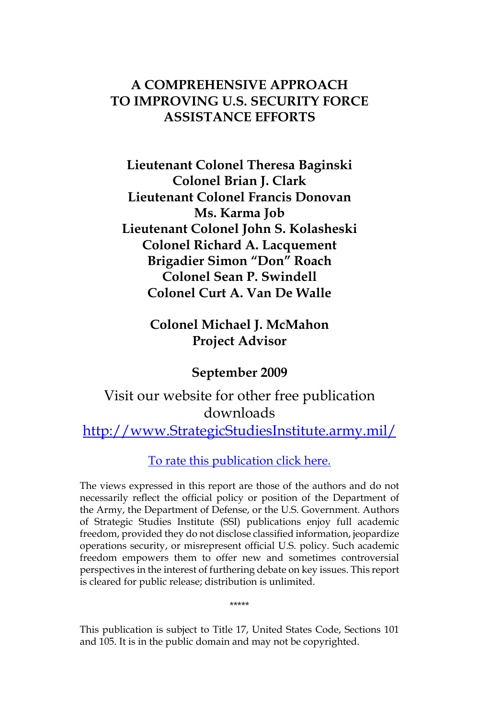#### **A COMPREHENSIVE APPROACH TO IMPROVING U.S. SECURITY FORCE ASSISTANCE EFFORTS**

**Lieutenant Colonel Theresa Baginski Colonel Brian J. Clark Lieutenant Colonel Francis Donovan Ms. Karma Job Lieutenant Colonel John S. Kolasheski Colonel Richard A. Lacquement Brigadier Simon "Don" Roach Colonel Sean P. Swindell Colonel Curt A. Van De Walle**

> **Colonel Michael J. McMahon Project Advisor**

> > **September 2009**

# Visit our website for other free publication downloads [http://www.StrategicStudiesInstitute.army.mil](http://www.strategicstudiesinstitute.army.mil)/

[To rate this publication click here.](http://www.strategicstudiesinstitute.army.mil/pubs/display.cfm?pubID=942)

The views expressed in this report are those of the authors and do not necessarily reflect the official policy or position of the Department of the Army, the Department of Defense, or the U.S. Government. Authors of Strategic Studies Institute (SSI) publications enjoy full academic freedom, provided they do not disclose classified information, jeopardize operations security, or misrepresent official U.S. policy. Such academic freedom empowers them to offer new and sometimes controversial perspectives in the interest of furthering debate on key issues. This report is cleared for public release; distribution is unlimited.

\*\*\*\*\*

This publication is subject to Title 17, United States Code, Sections 101 and 105. It is in the public domain and may not be copyrighted.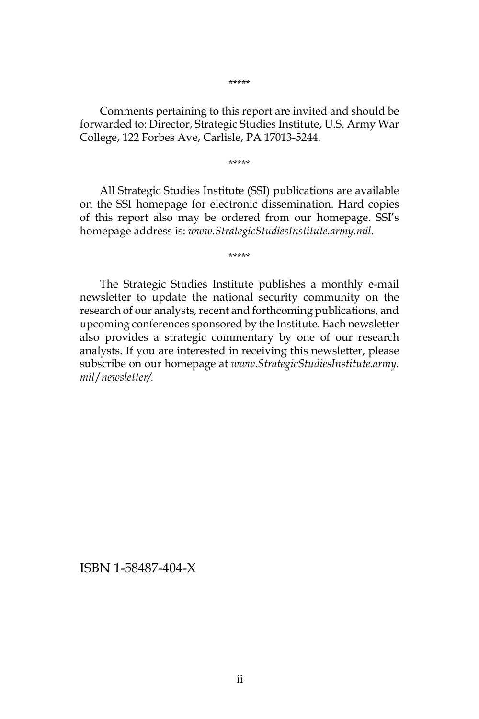Comments pertaining to this report are invited and should be forwarded to: Director, Strategic Studies Institute, U.S. Army War College, 122 Forbes Ave, Carlisle, PA 17013-5244.

\*\*\*\*\*

All Strategic Studies Institute (SSI) publications are available on the SSI homepage for electronic dissemination. Hard copies of this report also may be ordered from our homepage. SSI's homepage address is: *www.StrategicStudiesInstitute.army.mil*.

\*\*\*\*\*

The Strategic Studies Institute publishes a monthly e-mail newsletter to update the national security community on the research of our analysts, recent and forthcoming publications, and upcoming conferences sponsored by the Institute. Each newsletter also provides a strategic commentary by one of our research analysts. If you are interested in receiving this newsletter, please subscribe on our homepage at *www.StrategicStudiesInstitute.army. mil*/*newsletter/.*

ISBN 1-58487-404-X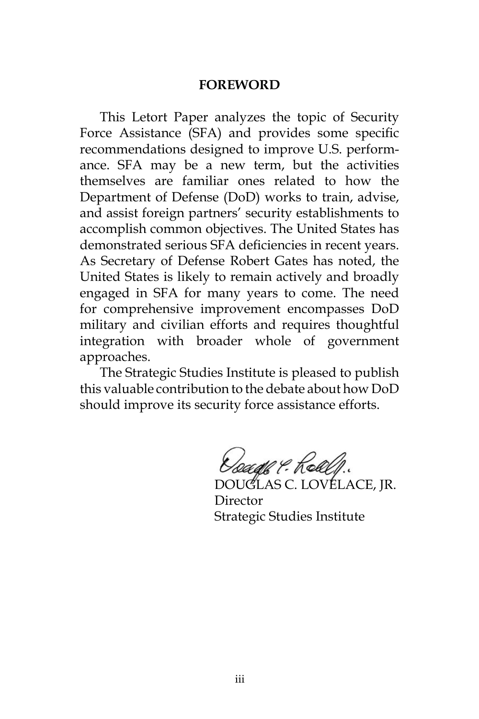#### **FOREWORD**

This Letort Paper analyzes the topic of Security Force Assistance (SFA) and provides some specific recommendations designed to improve U.S. performance. SFA may be a new term, but the activities themselves are familiar ones related to how the Department of Defense (DoD) works to train, advise, and assist foreign partners' security establishments to accomplish common objectives. The United States has demonstrated serious SFA deficiencies in recent years. As Secretary of Defense Robert Gates has noted, the United States is likely to remain actively and broadly engaged in SFA for many years to come. The need for comprehensive improvement encompasses DoD military and civilian efforts and requires thoughtful integration with broader whole of government approaches.

The Strategic Studies Institute is pleased to publish this valuable contribution to the debate about how DoD should improve its security force assistance efforts.

*Dough P. Rollf.*<br>DOUGLAS C. LOVELACE, JR.

Director Strategic Studies Institute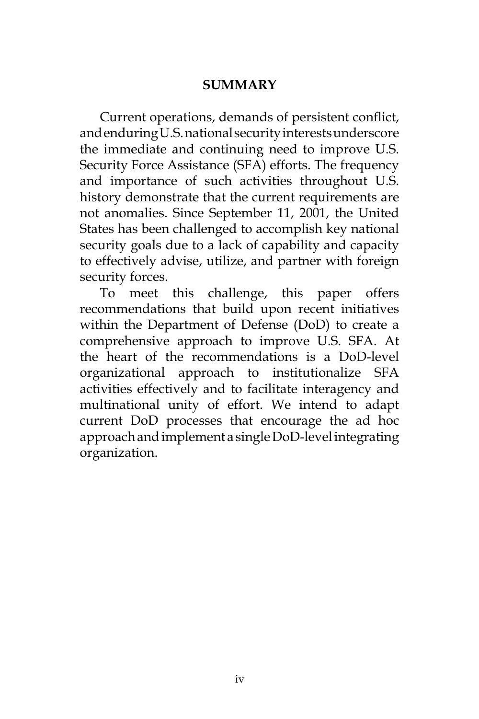#### **SUMMARY**

Current operations, demands of persistent conflict, and enduring U.S. national security interests underscore the immediate and continuing need to improve U.S. Security Force Assistance (SFA) efforts. The frequency and importance of such activities throughout U.S. history demonstrate that the current requirements are not anomalies. Since September 11, 2001, the United States has been challenged to accomplish key national security goals due to a lack of capability and capacity to effectively advise, utilize, and partner with foreign security forces.

To meet this challenge, this paper offers recommendations that build upon recent initiatives within the Department of Defense (DoD) to create a comprehensive approach to improve U.S. SFA. At the heart of the recommendations is a DoD-level organizational approach to institutionalize SFA activities effectively and to facilitate interagency and multinational unity of effort. We intend to adapt current DoD processes that encourage the ad hoc approach and implement a single DoD-level integrating organization.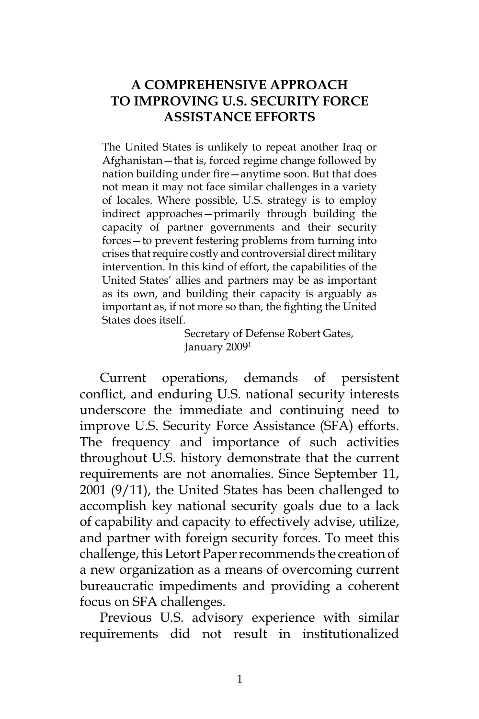# **A COMPREHENSIVE APPROACH TO IMPROVING U.S. SECURITY FORCE ASSISTANCE EFFORTS**

The United States is unlikely to repeat another Iraq or Afghanistan—that is, forced regime change followed by nation building under fire—anytime soon. But that does not mean it may not face similar challenges in a variety of locales. Where possible, U.S. strategy is to employ indirect approaches—primarily through building the capacity of partner governments and their security forces—to prevent festering problems from turning into crises that require costly and controversial direct military intervention. In this kind of effort, the capabilities of the United States' allies and partners may be as important as its own, and building their capacity is arguably as important as, if not more so than, the fighting the United States does itself.

> Secretary of Defense Robert Gates, January 20091

Current operations, demands of persistent conflict, and enduring U.S. national security interests underscore the immediate and continuing need to improve U.S. Security Force Assistance (SFA) efforts. The frequency and importance of such activities throughout U.S. history demonstrate that the current requirements are not anomalies. Since September 11, 2001 (9/11), the United States has been challenged to accomplish key national security goals due to a lack of capability and capacity to effectively advise, utilize, and partner with foreign security forces. To meet this challenge, this Letort Paper recommends the creation of a new organization as a means of overcoming current bureaucratic impediments and providing a coherent focus on SFA challenges.

Previous U.S. advisory experience with similar requirements did not result in institutionalized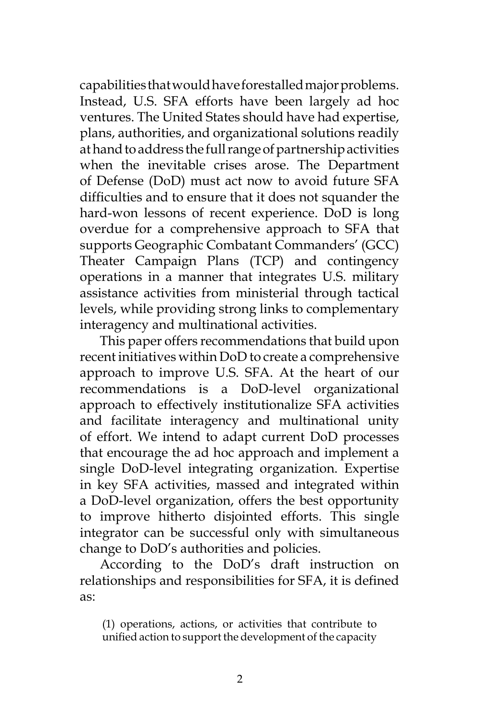capabilities that would have forestalled major problems. Instead, U.S. SFA efforts have been largely ad hoc ventures. The United States should have had expertise, plans, authorities, and organizational solutions readily at hand to address the full range of partnership activities when the inevitable crises arose. The Department of Defense (DoD) must act now to avoid future SFA difficulties and to ensure that it does not squander the hard-won lessons of recent experience. DoD is long overdue for a comprehensive approach to SFA that supports Geographic Combatant Commanders' (GCC) Theater Campaign Plans (TCP) and contingency operations in a manner that integrates U.S. military assistance activities from ministerial through tactical levels, while providing strong links to complementary interagency and multinational activities.

This paper offers recommendations that build upon recent initiatives within DoD to create a comprehensive approach to improve U.S. SFA. At the heart of our recommendations is a DoD-level organizational approach to effectively institutionalize SFA activities and facilitate interagency and multinational unity of effort. We intend to adapt current DoD processes that encourage the ad hoc approach and implement a single DoD-level integrating organization. Expertise in key SFA activities, massed and integrated within a DoD-level organization, offers the best opportunity to improve hitherto disjointed efforts. This single integrator can be successful only with simultaneous change to DoD's authorities and policies.

According to the DoD's draft instruction on relationships and responsibilities for SFA, it is defined as:

(1) operations, actions, or activities that contribute to unified action to support the development of the capacity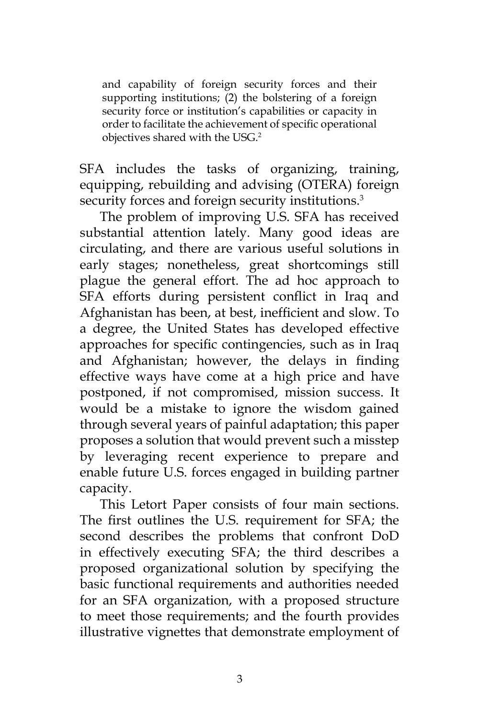and capability of foreign security forces and their supporting institutions; (2) the bolstering of a foreign security force or institution's capabilities or capacity in order to facilitate the achievement of specific operational objectives shared with the USG.2

SFA includes the tasks of organizing, training, equipping, rebuilding and advising (OTERA) foreign security forces and foreign security institutions.<sup>3</sup>

The problem of improving U.S. SFA has received substantial attention lately. Many good ideas are circulating, and there are various useful solutions in early stages; nonetheless, great shortcomings still plague the general effort. The ad hoc approach to SFA efforts during persistent conflict in Iraq and Afghanistan has been, at best, inefficient and slow. To a degree, the United States has developed effective approaches for specific contingencies, such as in Iraq and Afghanistan; however, the delays in finding effective ways have come at a high price and have postponed, if not compromised, mission success. It would be a mistake to ignore the wisdom gained through several years of painful adaptation; this paper proposes a solution that would prevent such a misstep by leveraging recent experience to prepare and enable future U.S. forces engaged in building partner capacity.

This Letort Paper consists of four main sections. The first outlines the U.S. requirement for SFA; the second describes the problems that confront DoD in effectively executing SFA; the third describes a proposed organizational solution by specifying the basic functional requirements and authorities needed for an SFA organization, with a proposed structure to meet those requirements; and the fourth provides illustrative vignettes that demonstrate employment of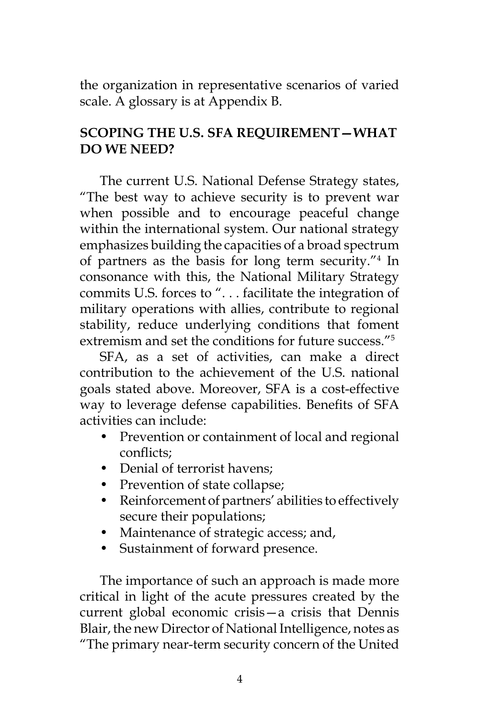the organization in representative scenarios of varied scale. A glossary is at Appendix B.

# **SCOPING THE U.S. SFA REQUIREMENT—WHAT DO WE NEED?**

The current U.S. National Defense Strategy states, "The best way to achieve security is to prevent war when possible and to encourage peaceful change within the international system. Our national strategy emphasizes building the capacities of a broad spectrum of partners as the basis for long term security."4 In consonance with this, the National Military Strategy commits U.S. forces to ". . . facilitate the integration of military operations with allies, contribute to regional stability, reduce underlying conditions that foment extremism and set the conditions for future success."5

SFA, as a set of activities, can make a direct contribution to the achievement of the U.S. national goals stated above. Moreover, SFA is a cost-effective way to leverage defense capabilities. Benefits of SFA activities can include:

- Prevention or containment of local and regional conflicts;
- Denial of terrorist havens:
- Prevention of state collapse;
- Reinforcement of partners' abilities to effectively secure their populations;
- Maintenance of strategic access; and,
- Sustainment of forward presence.

The importance of such an approach is made more critical in light of the acute pressures created by the current global economic crisis—a crisis that Dennis Blair, the new Director of National Intelligence, notes as "The primary near-term security concern of the United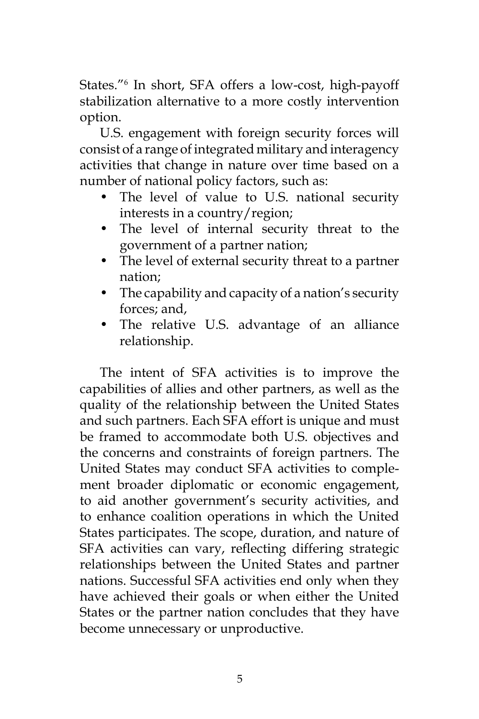States."<sup>6</sup> In short, SFA offers a low-cost, high-payoff stabilization alternative to a more costly intervention option.

U.S. engagement with foreign security forces will consist of a range of integrated military and interagency activities that change in nature over time based on a number of national policy factors, such as:

- The level of value to U.S. national security interests in a country/region;
- The level of internal security threat to the government of a partner nation;
- The level of external security threat to a partner nation;
- The capability and capacity of a nation's security forces; and,
- The relative U.S. advantage of an alliance relationship.

The intent of SFA activities is to improve the capabilities of allies and other partners, as well as the quality of the relationship between the United States and such partners. Each SFA effort is unique and must be framed to accommodate both U.S. objectives and the concerns and constraints of foreign partners. The United States may conduct SFA activities to complement broader diplomatic or economic engagement, to aid another government's security activities, and to enhance coalition operations in which the United States participates. The scope, duration, and nature of SFA activities can vary, reflecting differing strategic relationships between the United States and partner nations. Successful SFA activities end only when they have achieved their goals or when either the United States or the partner nation concludes that they have become unnecessary or unproductive.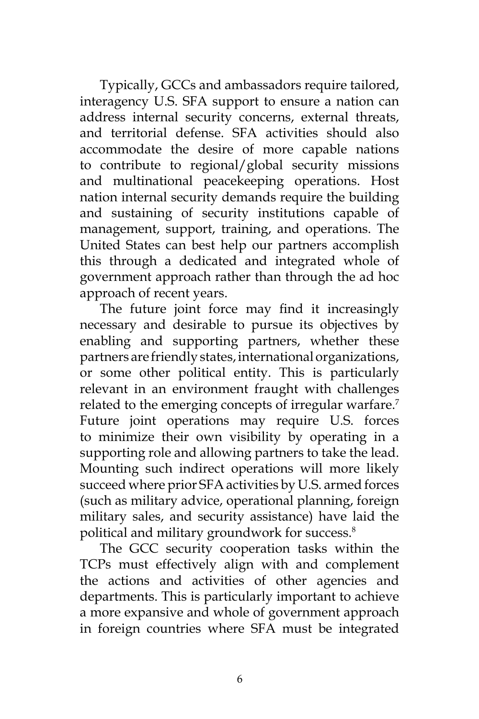Typically, GCCs and ambassadors require tailored, interagency U.S. SFA support to ensure a nation can address internal security concerns, external threats, and territorial defense. SFA activities should also accommodate the desire of more capable nations to contribute to regional/global security missions and multinational peacekeeping operations. Host nation internal security demands require the building and sustaining of security institutions capable of management, support, training, and operations. The United States can best help our partners accomplish this through a dedicated and integrated whole of government approach rather than through the ad hoc approach of recent years.

The future joint force may find it increasingly necessary and desirable to pursue its objectives by enabling and supporting partners, whether these partners are friendly states, international organizations, or some other political entity. This is particularly relevant in an environment fraught with challenges related to the emerging concepts of irregular warfare.<sup>7</sup> Future joint operations may require U.S. forces to minimize their own visibility by operating in a supporting role and allowing partners to take the lead. Mounting such indirect operations will more likely succeed where prior SFA activities by U.S. armed forces (such as military advice, operational planning, foreign military sales, and security assistance) have laid the political and military groundwork for success.<sup>8</sup>

The GCC security cooperation tasks within the TCPs must effectively align with and complement the actions and activities of other agencies and departments. This is particularly important to achieve a more expansive and whole of government approach in foreign countries where SFA must be integrated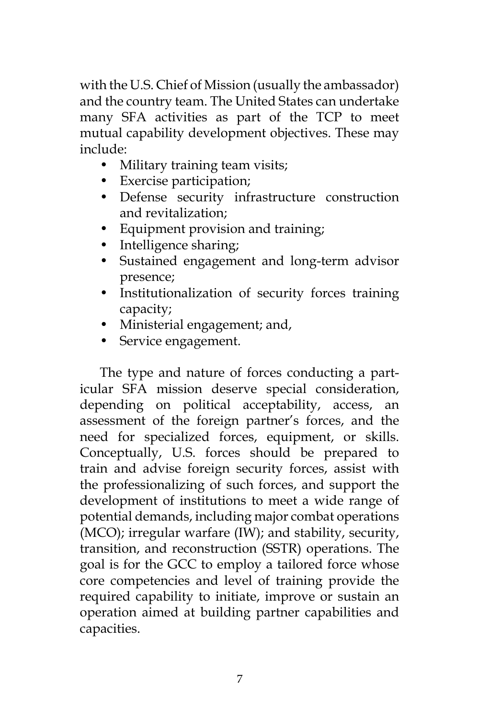with the U.S. Chief of Mission (usually the ambassador) and the country team. The United States can undertake many SFA activities as part of the TCP to meet mutual capability development objectives. These may include:

- Military training team visits;
- Exercise participation;
- Defense security infrastructure construction and revitalization;
- Equipment provision and training;
- Intelligence sharing;
- Sustained engagement and long-term advisor presence;
- Institutionalization of security forces training capacity;
- Ministerial engagement; and,
- Service engagement.

The type and nature of forces conducting a particular SFA mission deserve special consideration, depending on political acceptability, access, an assessment of the foreign partner's forces, and the need for specialized forces, equipment, or skills. Conceptually, U.S. forces should be prepared to train and advise foreign security forces, assist with the professionalizing of such forces, and support the development of institutions to meet a wide range of potential demands, including major combat operations (MCO); irregular warfare (IW); and stability, security, transition, and reconstruction (SSTR) operations. The goal is for the GCC to employ a tailored force whose core competencies and level of training provide the required capability to initiate, improve or sustain an operation aimed at building partner capabilities and capacities.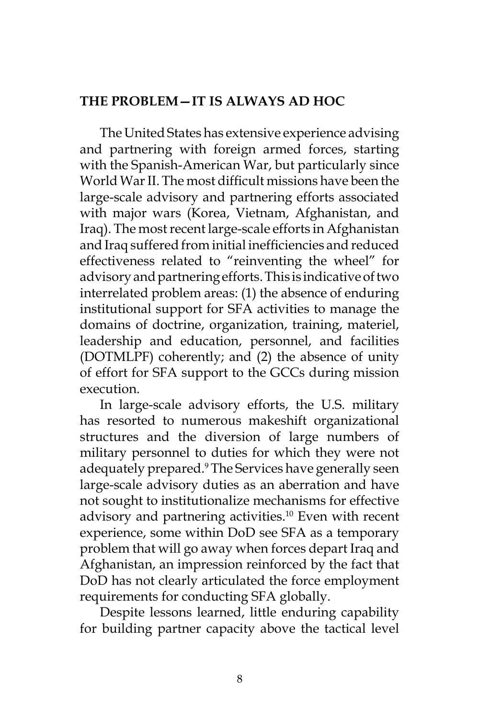#### **THE PROBLEM—IT IS ALWAYS AD HOC**

The United States has extensive experience advising and partnering with foreign armed forces, starting with the Spanish-American War, but particularly since World War II. The most difficult missions have been the large-scale advisory and partnering efforts associated with major wars (Korea, Vietnam, Afghanistan, and Iraq). The most recent large-scale efforts in Afghanistan and Iraq suffered from initial inefficiencies and reduced effectiveness related to "reinventing the wheel" for advisory and partnering efforts. This is indicative of two interrelated problem areas: (1) the absence of enduring institutional support for SFA activities to manage the domains of doctrine, organization, training, materiel, leadership and education, personnel, and facilities (DOTMLPF) coherently; and (2) the absence of unity of effort for SFA support to the GCCs during mission execution.

In large-scale advisory efforts, the U.S. military has resorted to numerous makeshift organizational structures and the diversion of large numbers of military personnel to duties for which they were not adequately prepared.9 The Services have generally seen large-scale advisory duties as an aberration and have not sought to institutionalize mechanisms for effective advisory and partnering activities. $10$  Even with recent experience, some within DoD see SFA as a temporary problem that will go away when forces depart Iraq and Afghanistan, an impression reinforced by the fact that DoD has not clearly articulated the force employment requirements for conducting SFA globally.

Despite lessons learned, little enduring capability for building partner capacity above the tactical level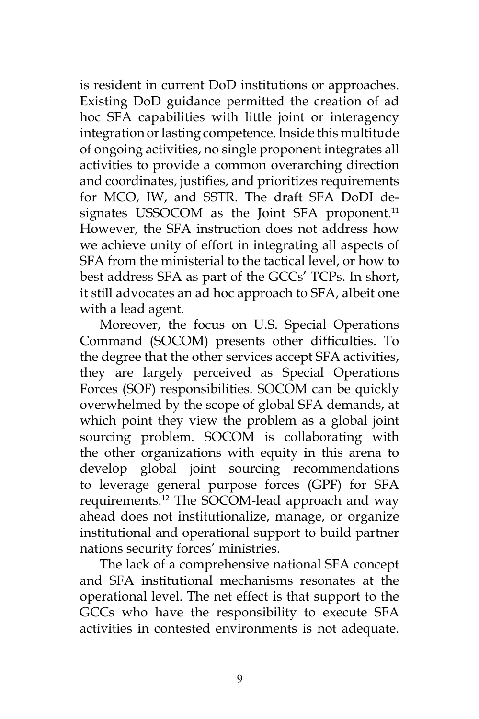is resident in current DoD institutions or approaches. Existing DoD guidance permitted the creation of ad hoc SFA capabilities with little joint or interagency integration or lasting competence. Inside this multitude of ongoing activities, no single proponent integrates all activities to provide a common overarching direction and coordinates, justifies, and prioritizes requirements for MCO, IW, and SSTR. The draft SFA DoDI designates USSOCOM as the Joint SFA proponent.<sup>11</sup> However, the SFA instruction does not address how we achieve unity of effort in integrating all aspects of SFA from the ministerial to the tactical level, or how to best address SFA as part of the GCCs' TCPs. In short, it still advocates an ad hoc approach to SFA, albeit one with a lead agent.

Moreover, the focus on U.S. Special Operations Command (SOCOM) presents other difficulties. To the degree that the other services accept SFA activities, they are largely perceived as Special Operations Forces (SOF) responsibilities. SOCOM can be quickly overwhelmed by the scope of global SFA demands, at which point they view the problem as a global joint sourcing problem. SOCOM is collaborating with the other organizations with equity in this arena to develop global joint sourcing recommendations to leverage general purpose forces (GPF) for SFA requirements.12 The SOCOM-lead approach and way ahead does not institutionalize, manage, or organize institutional and operational support to build partner nations security forces' ministries.

The lack of a comprehensive national SFA concept and SFA institutional mechanisms resonates at the operational level. The net effect is that support to the GCCs who have the responsibility to execute SFA activities in contested environments is not adequate.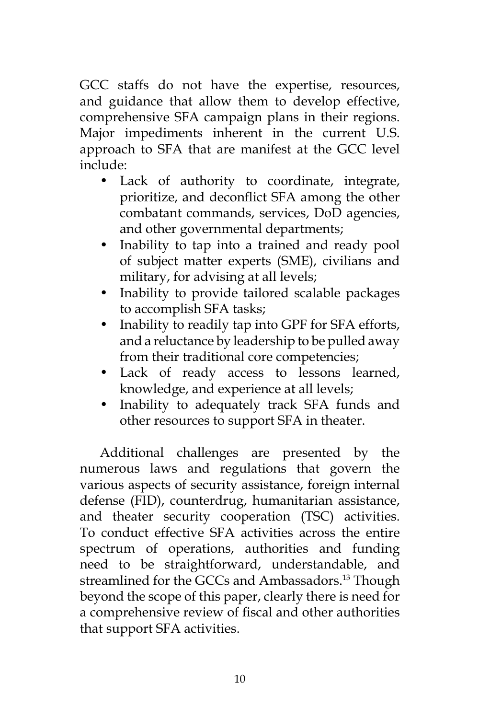GCC staffs do not have the expertise, resources, and guidance that allow them to develop effective, comprehensive SFA campaign plans in their regions. Major impediments inherent in the current U.S. approach to SFA that are manifest at the GCC level include:

- Lack of authority to coordinate, integrate, prioritize, and deconflict SFA among the other combatant commands, services, DoD agencies, and other governmental departments;
- Inability to tap into a trained and ready pool of subject matter experts (SME), civilians and military, for advising at all levels;
- Inability to provide tailored scalable packages to accomplish SFA tasks;
- Inability to readily tap into GPF for SFA efforts, and a reluctance by leadership to be pulled away from their traditional core competencies;
- Lack of ready access to lessons learned, knowledge, and experience at all levels;
- Inability to adequately track SFA funds and other resources to support SFA in theater.

Additional challenges are presented by the numerous laws and regulations that govern the various aspects of security assistance, foreign internal defense (FID), counterdrug, humanitarian assistance, and theater security cooperation (TSC) activities. To conduct effective SFA activities across the entire spectrum of operations, authorities and funding need to be straightforward, understandable, and streamlined for the GCCs and Ambassadors.<sup>13</sup> Though beyond the scope of this paper, clearly there is need for a comprehensive review of fiscal and other authorities that support SFA activities.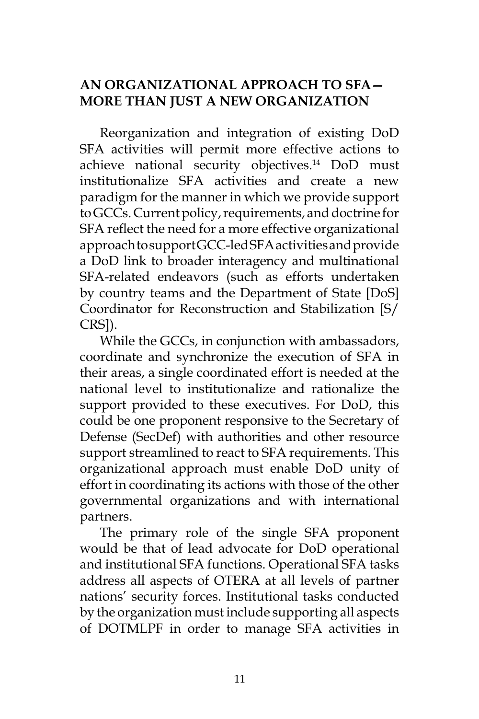# **AN ORGANIZATIONAL APPROACH TO SFA— MORE THAN JUST A NEW ORGANIZATION**

Reorganization and integration of existing DoD SFA activities will permit more effective actions to achieve national security objectives.<sup>14</sup> DoD must institutionalize SFA activities and create a new paradigm for the manner in which we provide support to GCCs. Current policy, requirements, and doctrine for SFA reflect the need for a more effective organizational approach to support GCC-led SFA activities and provide a DoD link to broader interagency and multinational SFA-related endeavors (such as efforts undertaken by country teams and the Department of State [DoS] Coordinator for Reconstruction and Stabilization [S/ CRS]).

While the GCCs, in conjunction with ambassadors, coordinate and synchronize the execution of SFA in their areas, a single coordinated effort is needed at the national level to institutionalize and rationalize the support provided to these executives. For DoD, this could be one proponent responsive to the Secretary of Defense (SecDef) with authorities and other resource support streamlined to react to SFA requirements. This organizational approach must enable DoD unity of effort in coordinating its actions with those of the other governmental organizations and with international partners.

The primary role of the single SFA proponent would be that of lead advocate for DoD operational and institutional SFA functions. Operational SFA tasks address all aspects of OTERA at all levels of partner nations' security forces. Institutional tasks conducted by the organization must include supporting all aspects of DOTMLPF in order to manage SFA activities in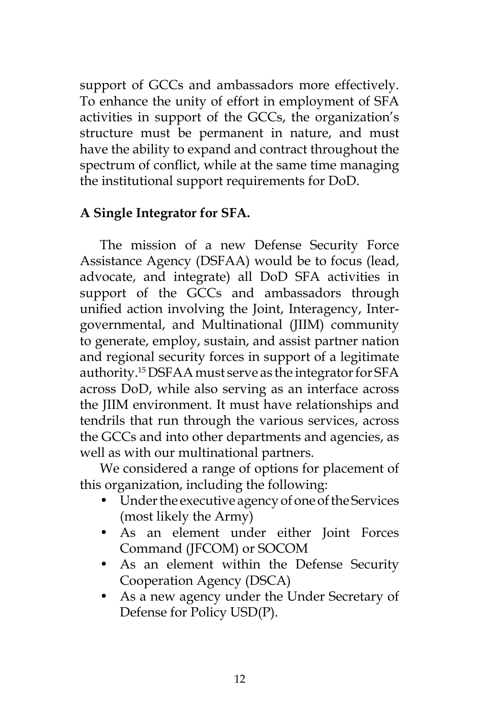support of GCCs and ambassadors more effectively. To enhance the unity of effort in employment of SFA activities in support of the GCCs, the organization's structure must be permanent in nature, and must have the ability to expand and contract throughout the spectrum of conflict, while at the same time managing the institutional support requirements for DoD.

#### **A Single Integrator for SFA.**

The mission of a new Defense Security Force Assistance Agency (DSFAA) would be to focus (lead, advocate, and integrate) all DoD SFA activities in support of the GCCs and ambassadors through unified action involving the Joint, Interagency, Intergovernmental, and Multinational (JIIM) community to generate, employ, sustain, and assist partner nation and regional security forces in support of a legitimate authority.15 DSFAA must serve as the integrator for SFA across DoD, while also serving as an interface across the JIIM environment. It must have relationships and tendrils that run through the various services, across the GCCs and into other departments and agencies, as well as with our multinational partners.

We considered a range of options for placement of this organization, including the following:

- Under the executive agency of one of the Services (most likely the Army)
- As an element under either Joint Forces Command (JFCOM) or SOCOM
- As an element within the Defense Security Cooperation Agency (DSCA)
- As a new agency under the Under Secretary of Defense for Policy USD(P).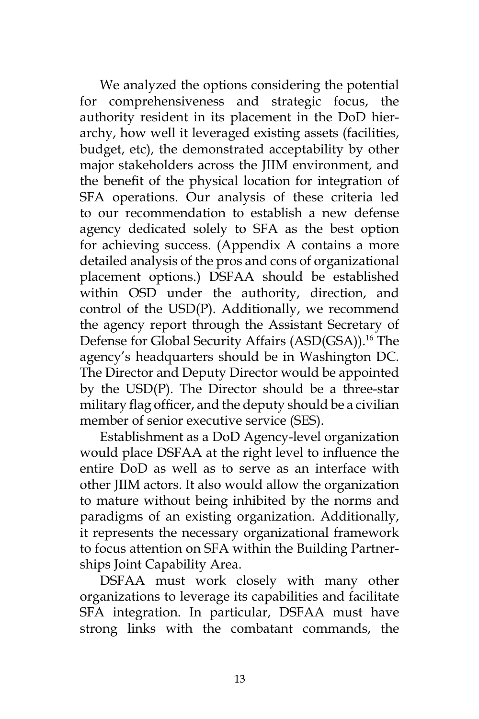We analyzed the options considering the potential for comprehensiveness and strategic focus, the authority resident in its placement in the DoD hierarchy, how well it leveraged existing assets (facilities, budget, etc), the demonstrated acceptability by other major stakeholders across the JIIM environment, and the benefit of the physical location for integration of SFA operations. Our analysis of these criteria led to our recommendation to establish a new defense agency dedicated solely to SFA as the best option for achieving success. (Appendix A contains a more detailed analysis of the pros and cons of organizational placement options.) DSFAA should be established within OSD under the authority, direction, and control of the USD(P). Additionally, we recommend the agency report through the Assistant Secretary of Defense for Global Security Affairs (ASD(GSA)).<sup>16</sup> The agency's headquarters should be in Washington DC. The Director and Deputy Director would be appointed by the USD(P). The Director should be a three-star military flag officer, and the deputy should be a civilian member of senior executive service (SES).

Establishment as a DoD Agency-level organization would place DSFAA at the right level to influence the entire DoD as well as to serve as an interface with other JIIM actors. It also would allow the organization to mature without being inhibited by the norms and paradigms of an existing organization. Additionally, it represents the necessary organizational framework to focus attention on SFA within the Building Partnerships Joint Capability Area.

DSFAA must work closely with many other organizations to leverage its capabilities and facilitate SFA integration. In particular, DSFAA must have strong links with the combatant commands, the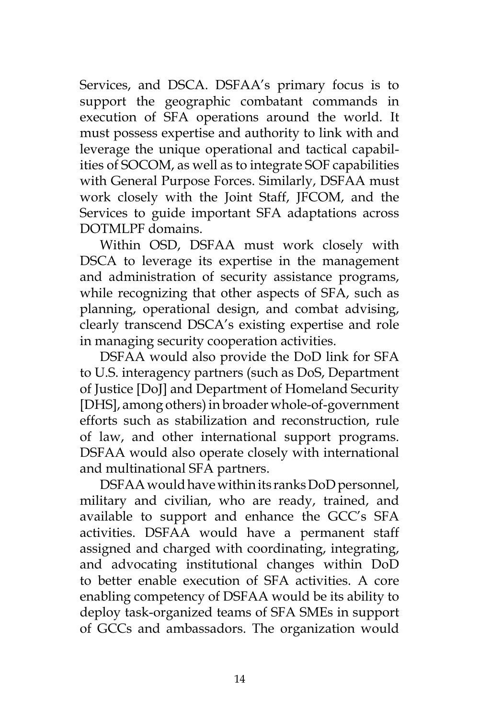Services, and DSCA. DSFAA's primary focus is to support the geographic combatant commands in execution of SFA operations around the world. It must possess expertise and authority to link with and leverage the unique operational and tactical capabilities of SOCOM, as well as to integrate SOF capabilities with General Purpose Forces. Similarly, DSFAA must work closely with the Joint Staff, JFCOM, and the Services to guide important SFA adaptations across DOTMLPF domains.

Within OSD, DSFAA must work closely with DSCA to leverage its expertise in the management and administration of security assistance programs, while recognizing that other aspects of SFA, such as planning, operational design, and combat advising, clearly transcend DSCA's existing expertise and role in managing security cooperation activities.

DSFAA would also provide the DoD link for SFA to U.S. interagency partners (such as DoS, Department of Justice [DoJ] and Department of Homeland Security [DHS], among others) in broader whole-of-government efforts such as stabilization and reconstruction, rule of law, and other international support programs. DSFAA would also operate closely with international and multinational SFA partners.

DSFAA would have within its ranks DoD personnel, military and civilian, who are ready, trained, and available to support and enhance the GCC's SFA activities. DSFAA would have a permanent staff assigned and charged with coordinating, integrating, and advocating institutional changes within DoD to better enable execution of SFA activities. A core enabling competency of DSFAA would be its ability to deploy task-organized teams of SFA SMEs in support of GCCs and ambassadors. The organization would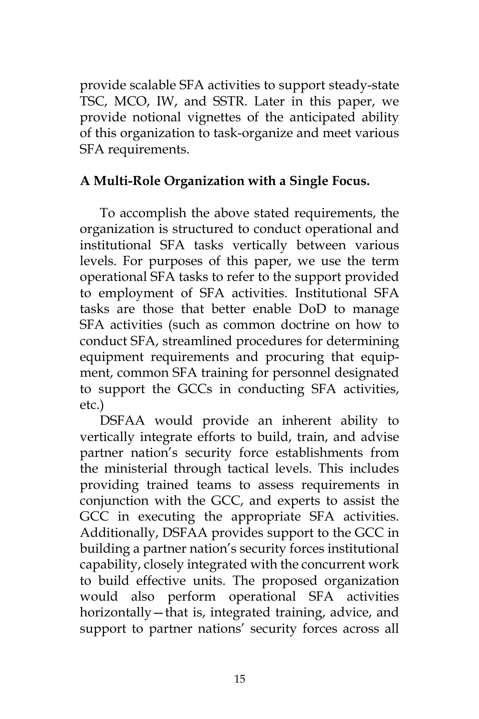provide scalable SFA activities to support steady-state TSC, MCO, IW, and SSTR. Later in this paper, we provide notional vignettes of the anticipated ability of this organization to task-organize and meet various SFA requirements.

# **A Multi-Role Organization with a Single Focus.**

To accomplish the above stated requirements, the organization is structured to conduct operational and institutional SFA tasks vertically between various levels. For purposes of this paper, we use the term operational SFA tasks to refer to the support provided to employment of SFA activities. Institutional SFA tasks are those that better enable DoD to manage SFA activities (such as common doctrine on how to conduct SFA, streamlined procedures for determining equipment requirements and procuring that equipment, common SFA training for personnel designated to support the GCCs in conducting SFA activities, etc.)

DSFAA would provide an inherent ability to vertically integrate efforts to build, train, and advise partner nation's security force establishments from the ministerial through tactical levels. This includes providing trained teams to assess requirements in conjunction with the GCC, and experts to assist the GCC in executing the appropriate SFA activities. Additionally, DSFAA provides support to the GCC in building a partner nation's security forces institutional capability, closely integrated with the concurrent work to build effective units. The proposed organization would also perform operational SFA activities horizontally—that is, integrated training, advice, and support to partner nations' security forces across all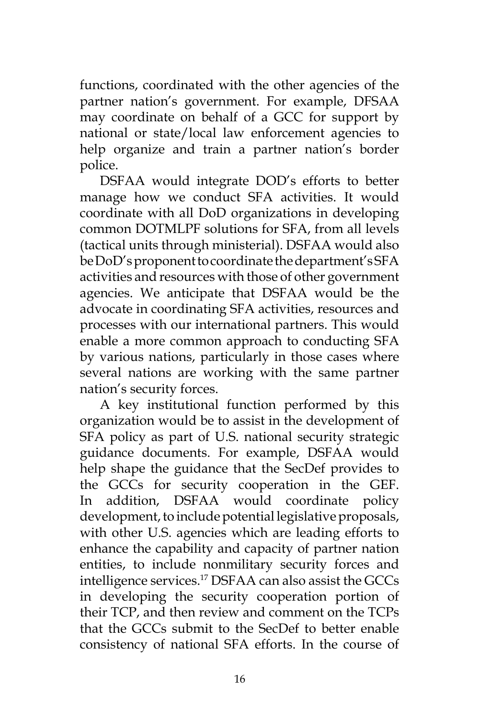functions, coordinated with the other agencies of the partner nation's government. For example, DFSAA may coordinate on behalf of a GCC for support by national or state/local law enforcement agencies to help organize and train a partner nation's border police.

DSFAA would integrate DOD's efforts to better manage how we conduct SFA activities. It would coordinate with all DoD organizations in developing common DOTMLPF solutions for SFA, from all levels (tactical units through ministerial). DSFAA would also be DoD's proponent to coordinate the department's SFA activities and resources with those of other government agencies. We anticipate that DSFAA would be the advocate in coordinating SFA activities, resources and processes with our international partners. This would enable a more common approach to conducting SFA by various nations, particularly in those cases where several nations are working with the same partner nation's security forces.

A key institutional function performed by this organization would be to assist in the development of SFA policy as part of U.S. national security strategic guidance documents. For example, DSFAA would help shape the guidance that the SecDef provides to the GCCs for security cooperation in the GEF. In addition, DSFAA would coordinate policy development, to include potential legislative proposals, with other U.S. agencies which are leading efforts to enhance the capability and capacity of partner nation entities, to include nonmilitary security forces and intelligence services.17 DSFAA can also assist the GCCs in developing the security cooperation portion of their TCP, and then review and comment on the TCPs that the GCCs submit to the SecDef to better enable consistency of national SFA efforts. In the course of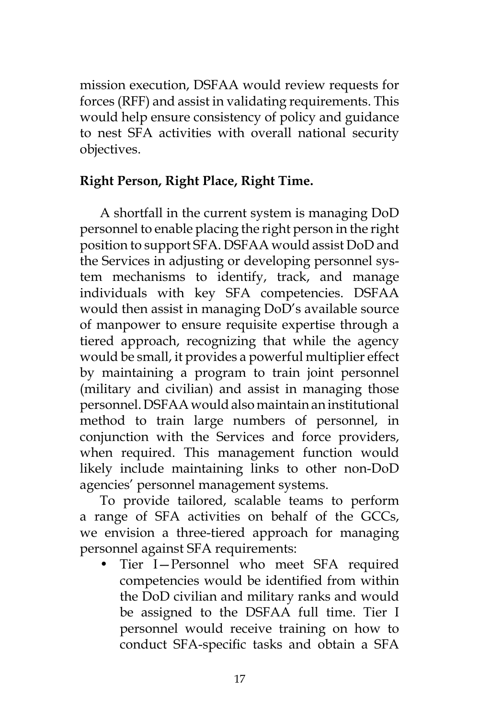mission execution, DSFAA would review requests for forces (RFF) and assist in validating requirements. This would help ensure consistency of policy and guidance to nest SFA activities with overall national security objectives.

# **Right Person, Right Place, Right Time.**

A shortfall in the current system is managing DoD personnel to enable placing the right person in the right position to support SFA. DSFAA would assist DoD and the Services in adjusting or developing personnel system mechanisms to identify, track, and manage individuals with key SFA competencies. DSFAA would then assist in managing DoD's available source of manpower to ensure requisite expertise through a tiered approach, recognizing that while the agency would be small, it provides a powerful multiplier effect by maintaining a program to train joint personnel (military and civilian) and assist in managing those personnel. DSFAA would also maintain an institutional method to train large numbers of personnel, in conjunction with the Services and force providers, when required. This management function would likely include maintaining links to other non-DoD agencies' personnel management systems.

To provide tailored, scalable teams to perform a range of SFA activities on behalf of the GCCs, we envision a three-tiered approach for managing personnel against SFA requirements:

• Tier I—Personnel who meet SFA required competencies would be identified from within the DoD civilian and military ranks and would be assigned to the DSFAA full time. Tier I personnel would receive training on how to conduct SFA-specific tasks and obtain a SFA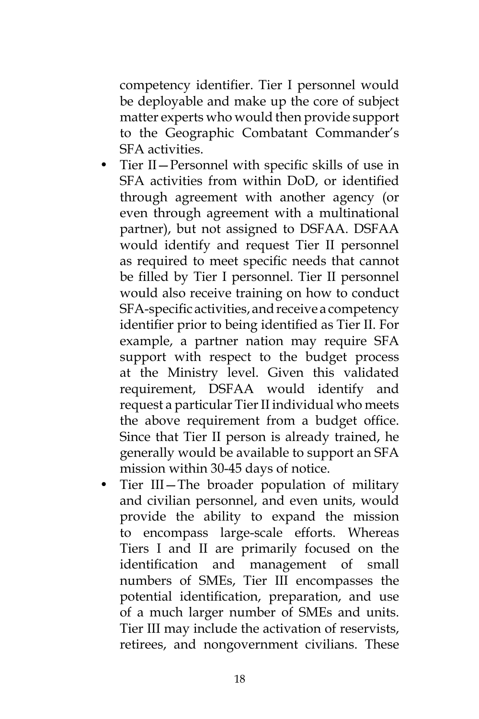competency identifier. Tier I personnel would be deployable and make up the core of subject matter experts who would then provide support to the Geographic Combatant Commander's SFA activities.

- Tier II—Personnel with specific skills of use in SFA activities from within DoD, or identified through agreement with another agency (or even through agreement with a multinational partner), but not assigned to DSFAA. DSFAA would identify and request Tier II personnel as required to meet specific needs that cannot be filled by Tier I personnel. Tier II personnel would also receive training on how to conduct SFA-specific activities, and receive a competency identifier prior to being identified as Tier II. For example, a partner nation may require SFA support with respect to the budget process at the Ministry level. Given this validated requirement, DSFAA would identify and request a particular Tier II individual who meets the above requirement from a budget office. Since that Tier II person is already trained, he generally would be available to support an SFA mission within 30-45 days of notice.
- Tier III—The broader population of military and civilian personnel, and even units, would provide the ability to expand the mission to encompass large-scale efforts. Whereas Tiers I and II are primarily focused on the identification and management of small numbers of SMEs, Tier III encompasses the potential identification, preparation, and use of a much larger number of SMEs and units. Tier III may include the activation of reservists, retirees, and nongovernment civilians. These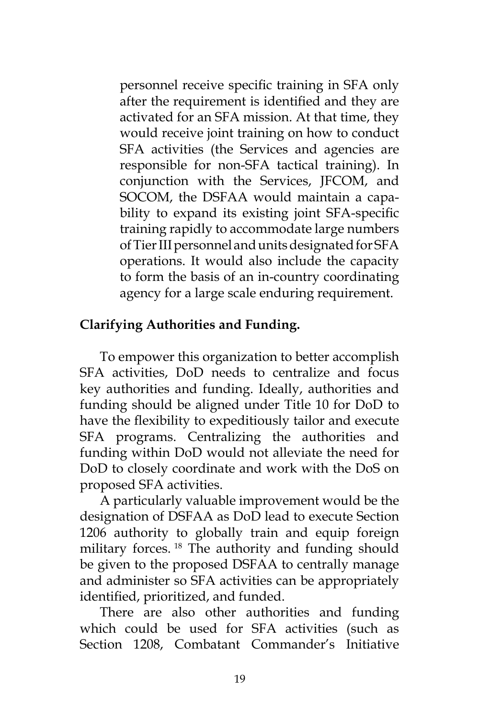personnel receive specific training in SFA only after the requirement is identified and they are activated for an SFA mission. At that time, they would receive joint training on how to conduct SFA activities (the Services and agencies are responsible for non-SFA tactical training). In conjunction with the Services, JFCOM, and SOCOM, the DSFAA would maintain a capability to expand its existing joint SFA-specific training rapidly to accommodate large numbers of Tier III personnel and units designated for SFA operations. It would also include the capacity to form the basis of an in-country coordinating agency for a large scale enduring requirement.

# **Clarifying Authorities and Funding.**

To empower this organization to better accomplish SFA activities, DoD needs to centralize and focus key authorities and funding. Ideally, authorities and funding should be aligned under Title 10 for DoD to have the flexibility to expeditiously tailor and execute SFA programs. Centralizing the authorities and funding within DoD would not alleviate the need for DoD to closely coordinate and work with the DoS on proposed SFA activities.

A particularly valuable improvement would be the designation of DSFAA as DoD lead to execute Section 1206 authority to globally train and equip foreign military forces. 18 The authority and funding should be given to the proposed DSFAA to centrally manage and administer so SFA activities can be appropriately identified, prioritized, and funded.

There are also other authorities and funding which could be used for SFA activities (such as Section 1208, Combatant Commander's Initiative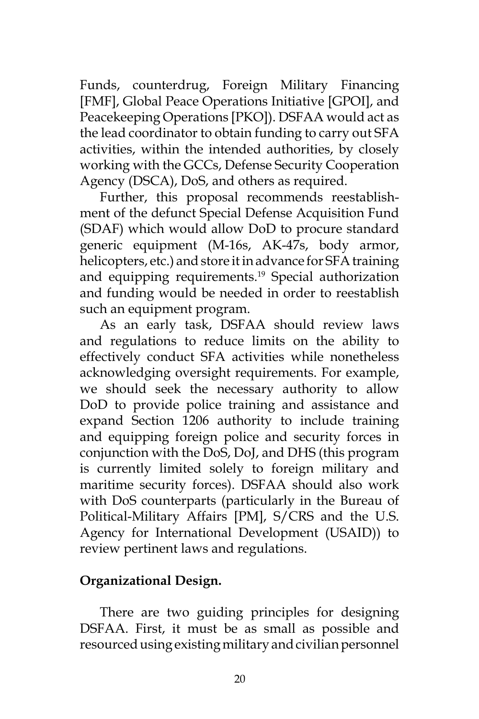Funds, counterdrug, Foreign Military Financing [FMF], Global Peace Operations Initiative [GPOI], and Peacekeeping Operations [PKO]). DSFAA would act as the lead coordinator to obtain funding to carry out SFA activities, within the intended authorities, by closely working with the GCCs, Defense Security Cooperation Agency (DSCA), DoS, and others as required.

Further, this proposal recommends reestablishment of the defunct Special Defense Acquisition Fund (SDAF) which would allow DoD to procure standard generic equipment (M-16s, AK-47s, body armor, helicopters, etc.) and store it in advance for SFA training and equipping requirements.<sup>19</sup> Special authorization and funding would be needed in order to reestablish such an equipment program.

As an early task, DSFAA should review laws and regulations to reduce limits on the ability to effectively conduct SFA activities while nonetheless acknowledging oversight requirements. For example, we should seek the necessary authority to allow DoD to provide police training and assistance and expand Section 1206 authority to include training and equipping foreign police and security forces in conjunction with the DoS, DoJ, and DHS (this program is currently limited solely to foreign military and maritime security forces). DSFAA should also work with DoS counterparts (particularly in the Bureau of Political-Military Affairs [PM], S/CRS and the U.S. Agency for International Development (USAID)) to review pertinent laws and regulations.

# **Organizational Design.**

There are two guiding principles for designing DSFAA. First, it must be as small as possible and resourced using existing military and civilian personnel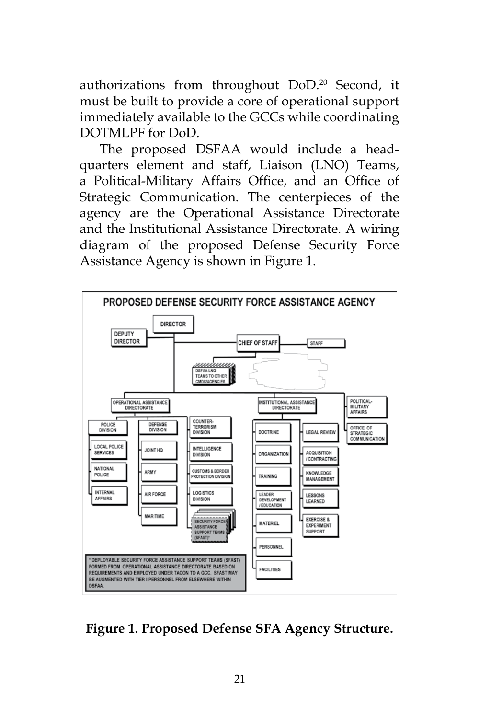authorizations from throughout DoD.20 Second, it must be built to provide a core of operational support immediately available to the GCCs while coordinating DOTMLPF for DoD.

The proposed DSFAA would include a headquarters element and staff, Liaison (LNO) Teams, a Political-Military Affairs Office, and an Office of Strategic Communication. The centerpieces of the agency are the Operational Assistance Directorate and the Institutional Assistance Directorate. A wiring diagram of the proposed Defense Security Force Assistance Agency is shown in Figure 1.



**Figure 1. Proposed Defense SFA Agency Structure.**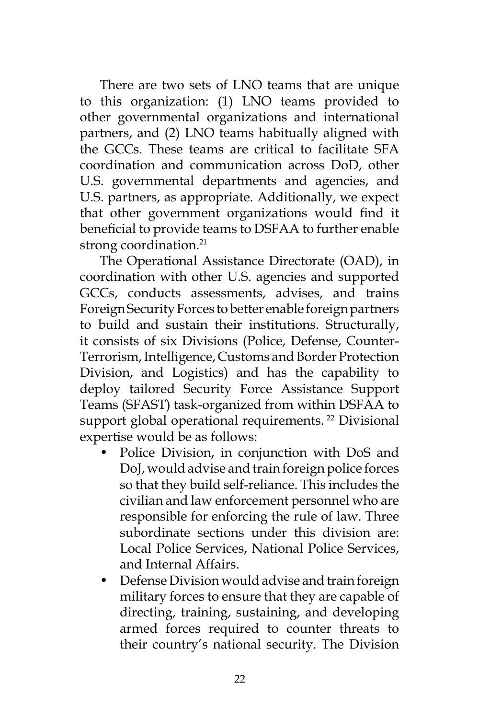There are two sets of LNO teams that are unique to this organization: (1) LNO teams provided to other governmental organizations and international partners, and (2) LNO teams habitually aligned with the GCCs. These teams are critical to facilitate SFA coordination and communication across DoD, other U.S. governmental departments and agencies, and U.S. partners, as appropriate. Additionally, we expect that other government organizations would find it beneficial to provide teams to DSFAA to further enable strong coordination.<sup>21</sup>

The Operational Assistance Directorate (OAD), in coordination with other U.S. agencies and supported GCCs, conducts assessments, advises, and trains Foreign Security Forces to better enable foreign partners to build and sustain their institutions. Structurally, it consists of six Divisions (Police, Defense, Counter-Terrorism, Intelligence, Customs and Border Protection Division, and Logistics) and has the capability to deploy tailored Security Force Assistance Support Teams (SFAST) task-organized from within DSFAA to support global operational requirements.<sup>22</sup> Divisional expertise would be as follows:

- Police Division, in conjunction with DoS and DoJ, would advise and train foreign police forces so that they build self-reliance. This includes the civilian and law enforcement personnel who are responsible for enforcing the rule of law. Three subordinate sections under this division are: Local Police Services, National Police Services, and Internal Affairs.
- Defense Division would advise and train foreign military forces to ensure that they are capable of directing, training, sustaining, and developing armed forces required to counter threats to their country's national security. The Division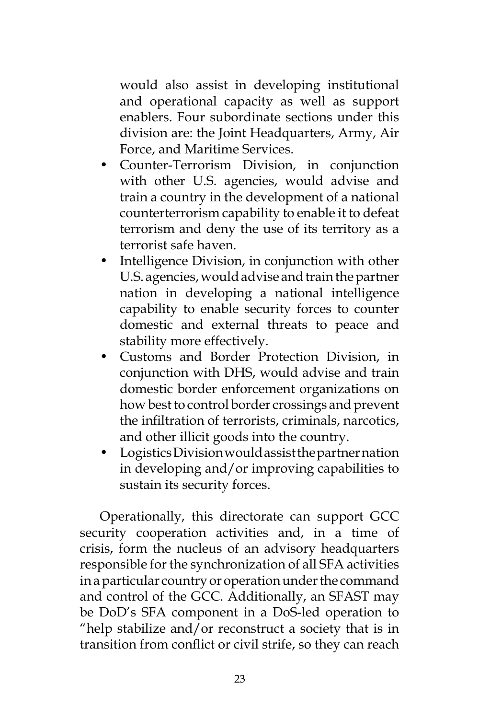would also assist in developing institutional and operational capacity as well as support enablers. Four subordinate sections under this division are: the Joint Headquarters, Army, Air Force, and Maritime Services.

- Counter-Terrorism Division, in conjunction with other U.S. agencies, would advise and train a country in the development of a national counterterrorism capability to enable it to defeat terrorism and deny the use of its territory as a terrorist safe haven.
- Intelligence Division, in conjunction with other U.S. agencies, would advise and train the partner nation in developing a national intelligence capability to enable security forces to counter domestic and external threats to peace and stability more effectively.
- Customs and Border Protection Division, in conjunction with DHS, would advise and train domestic border enforcement organizations on how best to control border crossings and prevent the infiltration of terrorists, criminals, narcotics, and other illicit goods into the country.
- Logistics Division would assist the partner nation in developing and/or improving capabilities to sustain its security forces.

Operationally, this directorate can support GCC security cooperation activities and, in a time of crisis, form the nucleus of an advisory headquarters responsible for the synchronization of all SFA activities in a particular country or operation under the command and control of the GCC. Additionally, an SFAST may be DoD's SFA component in a DoS-led operation to "help stabilize and/or reconstruct a society that is in transition from conflict or civil strife, so they can reach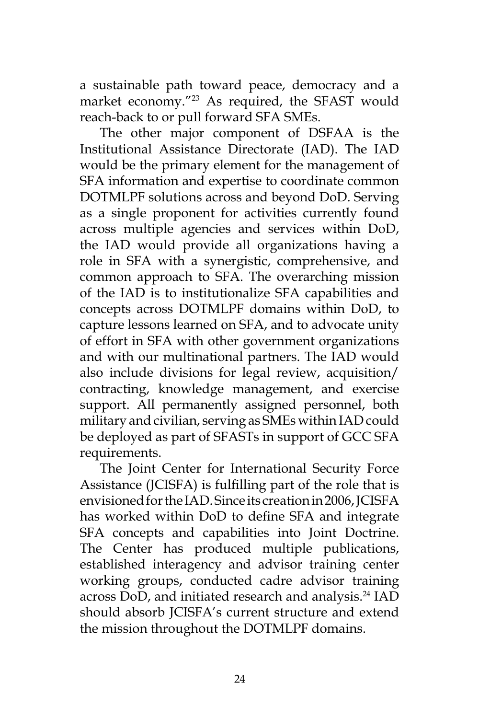a sustainable path toward peace, democracy and a market economy."23 As required, the SFAST would reach-back to or pull forward SFA SMEs.

The other major component of DSFAA is the Institutional Assistance Directorate (IAD). The IAD would be the primary element for the management of SFA information and expertise to coordinate common DOTMLPF solutions across and beyond DoD. Serving as a single proponent for activities currently found across multiple agencies and services within DoD, the IAD would provide all organizations having a role in SFA with a synergistic, comprehensive, and common approach to SFA. The overarching mission of the IAD is to institutionalize SFA capabilities and concepts across DOTMLPF domains within DoD, to capture lessons learned on SFA, and to advocate unity of effort in SFA with other government organizations and with our multinational partners. The IAD would also include divisions for legal review, acquisition/ contracting, knowledge management, and exercise support. All permanently assigned personnel, both military and civilian, serving as SMEs within IAD could be deployed as part of SFASTs in support of GCC SFA requirements.

The Joint Center for International Security Force Assistance (JCISFA) is fulfilling part of the role that is envisioned for the IAD. Since its creation in 2006, JCISFA has worked within DoD to define SFA and integrate SFA concepts and capabilities into Joint Doctrine. The Center has produced multiple publications, established interagency and advisor training center working groups, conducted cadre advisor training across DoD, and initiated research and analysis.<sup>24</sup> IAD should absorb JCISFA's current structure and extend the mission throughout the DOTMLPF domains.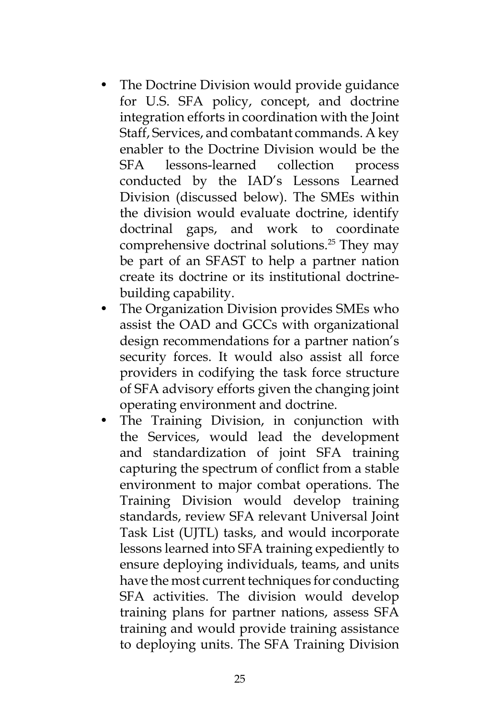- The Doctrine Division would provide guidance for U.S. SFA policy, concept, and doctrine integration efforts in coordination with the Joint Staff, Services, and combatant commands. A key enabler to the Doctrine Division would be the SFA lessons-learned collection process conducted by the IAD's Lessons Learned Division (discussed below). The SMEs within the division would evaluate doctrine, identify doctrinal gaps, and work to coordinate comprehensive doctrinal solutions.25 They may be part of an SFAST to help a partner nation create its doctrine or its institutional doctrinebuilding capability.
- The Organization Division provides SMEs who assist the OAD and GCCs with organizational design recommendations for a partner nation's security forces. It would also assist all force providers in codifying the task force structure of SFA advisory efforts given the changing joint operating environment and doctrine.
- The Training Division, in conjunction with the Services, would lead the development and standardization of joint SFA training capturing the spectrum of conflict from a stable environment to major combat operations. The Training Division would develop training standards, review SFA relevant Universal Joint Task List (UJTL) tasks, and would incorporate lessons learned into SFA training expediently to ensure deploying individuals, teams, and units have the most current techniques for conducting SFA activities. The division would develop training plans for partner nations, assess SFA training and would provide training assistance to deploying units. The SFA Training Division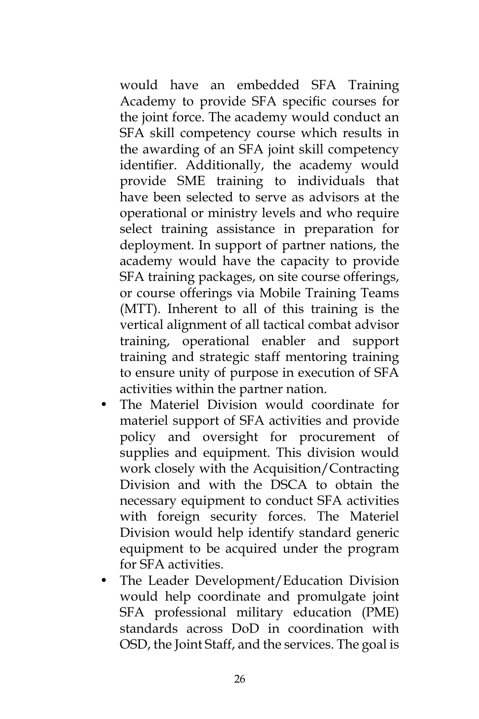would have an embedded SFA Training Academy to provide SFA specific courses for the joint force. The academy would conduct an SFA skill competency course which results in the awarding of an SFA joint skill competency identifier. Additionally, the academy would provide SME training to individuals that have been selected to serve as advisors at the operational or ministry levels and who require select training assistance in preparation for deployment. In support of partner nations, the academy would have the capacity to provide SFA training packages, on site course offerings, or course offerings via Mobile Training Teams (MTT). Inherent to all of this training is the vertical alignment of all tactical combat advisor training, operational enabler and support training and strategic staff mentoring training to ensure unity of purpose in execution of SFA activities within the partner nation.

- The Materiel Division would coordinate for materiel support of SFA activities and provide policy and oversight for procurement of supplies and equipment. This division would work closely with the Acquisition/Contracting Division and with the DSCA to obtain the necessary equipment to conduct SFA activities with foreign security forces. The Materiel Division would help identify standard generic equipment to be acquired under the program for SFA activities.
- The Leader Development/Education Division would help coordinate and promulgate joint SFA professional military education (PME) standards across DoD in coordination with OSD, the Joint Staff, and the services. The goal is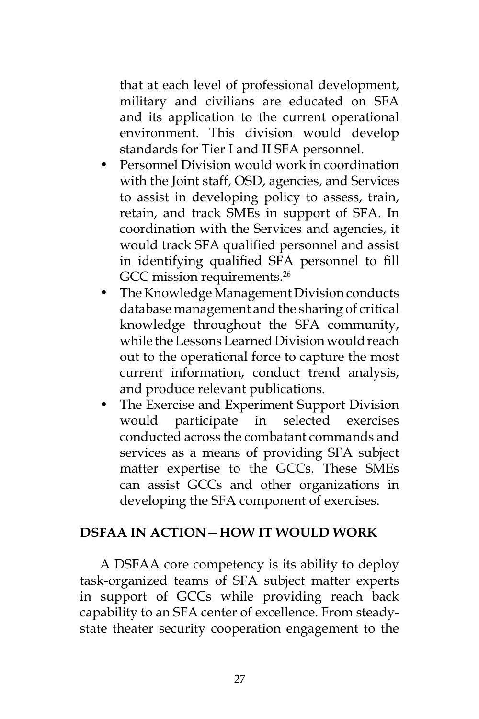that at each level of professional development, military and civilians are educated on SFA and its application to the current operational environment. This division would develop standards for Tier I and II SFA personnel.

- Personnel Division would work in coordination with the Joint staff, OSD, agencies, and Services to assist in developing policy to assess, train, retain, and track SMEs in support of SFA. In coordination with the Services and agencies, it would track SFA qualified personnel and assist in identifying qualified SFA personnel to fill GCC mission requirements.<sup>26</sup>
- The Knowledge Management Division conducts database management and the sharing of critical knowledge throughout the SFA community, while the Lessons Learned Division would reach out to the operational force to capture the most current information, conduct trend analysis, and produce relevant publications.
- The Exercise and Experiment Support Division would participate in selected exercises conducted across the combatant commands and services as a means of providing SFA subject matter expertise to the GCCs. These SMEs can assist GCCs and other organizations in developing the SFA component of exercises.

#### **DSFAA IN ACTION—HOW IT WOULD WORK**

A DSFAA core competency is its ability to deploy task-organized teams of SFA subject matter experts in support of GCCs while providing reach back capability to an SFA center of excellence. From steadystate theater security cooperation engagement to the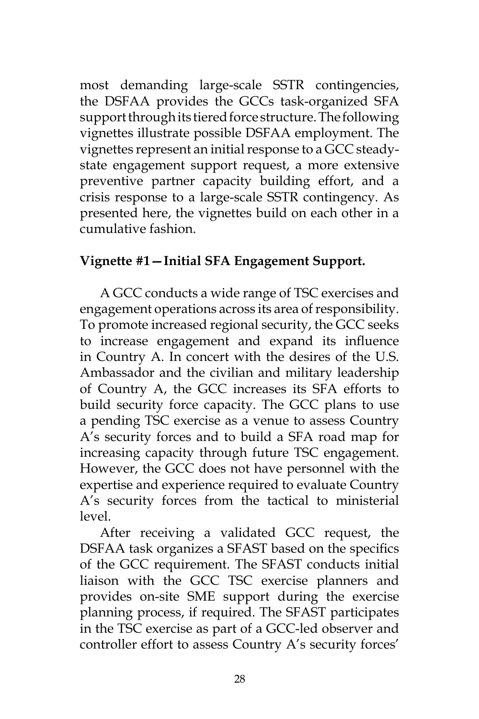most demanding large-scale SSTR contingencies, the DSFAA provides the GCCs task-organized SFA support through its tiered force structure. The following vignettes illustrate possible DSFAA employment. The vignettes represent an initial response to a GCC steadystate engagement support request, a more extensive preventive partner capacity building effort, and a crisis response to a large-scale SSTR contingency. As presented here, the vignettes build on each other in a cumulative fashion.

# **Vignette #1—Initial SFA Engagement Support.**

A GCC conducts a wide range of TSC exercises and engagement operations across its area of responsibility. To promote increased regional security, the GCC seeks to increase engagement and expand its influence in Country A. In concert with the desires of the U.S. Ambassador and the civilian and military leadership of Country A, the GCC increases its SFA efforts to build security force capacity. The GCC plans to use a pending TSC exercise as a venue to assess Country A's security forces and to build a SFA road map for increasing capacity through future TSC engagement. However, the GCC does not have personnel with the expertise and experience required to evaluate Country A's security forces from the tactical to ministerial level.

After receiving a validated GCC request, the DSFAA task organizes a SFAST based on the specifics of the GCC requirement. The SFAST conducts initial liaison with the GCC TSC exercise planners and provides on-site SME support during the exercise planning process, if required. The SFAST participates in the TSC exercise as part of a GCC-led observer and controller effort to assess Country A's security forces'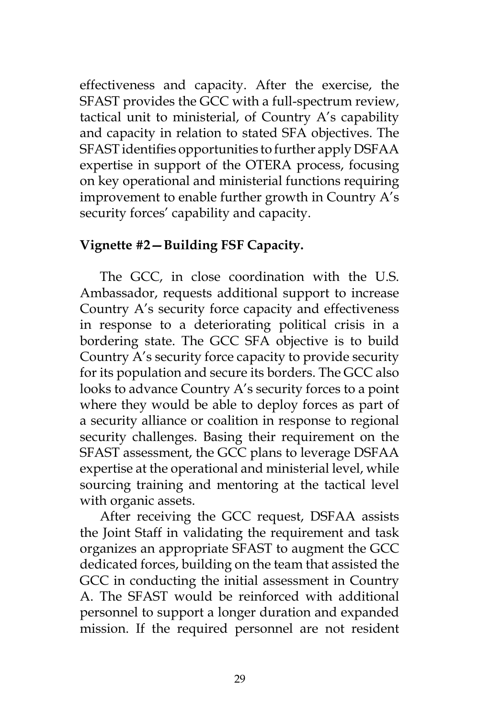effectiveness and capacity. After the exercise, the SFAST provides the GCC with a full-spectrum review, tactical unit to ministerial, of Country A's capability and capacity in relation to stated SFA objectives. The SFAST identifies opportunities to further apply DSFAA expertise in support of the OTERA process, focusing on key operational and ministerial functions requiring improvement to enable further growth in Country A's security forces' capability and capacity.

# **Vignette #2—Building FSF Capacity.**

The GCC, in close coordination with the U.S. Ambassador, requests additional support to increase Country A's security force capacity and effectiveness in response to a deteriorating political crisis in a bordering state. The GCC SFA objective is to build Country A's security force capacity to provide security for its population and secure its borders. The GCC also looks to advance Country A's security forces to a point where they would be able to deploy forces as part of a security alliance or coalition in response to regional security challenges. Basing their requirement on the SFAST assessment, the GCC plans to leverage DSFAA expertise at the operational and ministerial level, while sourcing training and mentoring at the tactical level with organic assets.

After receiving the GCC request, DSFAA assists the Joint Staff in validating the requirement and task organizes an appropriate SFAST to augment the GCC dedicated forces, building on the team that assisted the GCC in conducting the initial assessment in Country A. The SFAST would be reinforced with additional personnel to support a longer duration and expanded mission. If the required personnel are not resident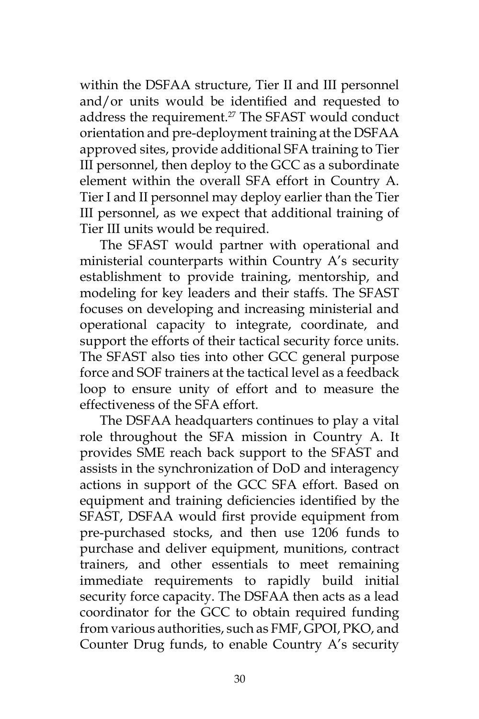within the DSFAA structure, Tier II and III personnel and/or units would be identified and requested to address the requirement.<sup>27</sup> The SFAST would conduct orientation and pre-deployment training at the DSFAA approved sites, provide additional SFA training to Tier III personnel, then deploy to the GCC as a subordinate element within the overall SFA effort in Country A. Tier I and II personnel may deploy earlier than the Tier III personnel, as we expect that additional training of Tier III units would be required.

The SFAST would partner with operational and ministerial counterparts within Country A's security establishment to provide training, mentorship, and modeling for key leaders and their staffs. The SFAST focuses on developing and increasing ministerial and operational capacity to integrate, coordinate, and support the efforts of their tactical security force units. The SFAST also ties into other GCC general purpose force and SOF trainers at the tactical level as a feedback loop to ensure unity of effort and to measure the effectiveness of the SFA effort.

The DSFAA headquarters continues to play a vital role throughout the SFA mission in Country A. It provides SME reach back support to the SFAST and assists in the synchronization of DoD and interagency actions in support of the GCC SFA effort. Based on equipment and training deficiencies identified by the SFAST, DSFAA would first provide equipment from pre-purchased stocks, and then use 1206 funds to purchase and deliver equipment, munitions, contract trainers, and other essentials to meet remaining immediate requirements to rapidly build initial security force capacity. The DSFAA then acts as a lead coordinator for the GCC to obtain required funding from various authorities, such as FMF, GPOI, PKO, and Counter Drug funds, to enable Country A's security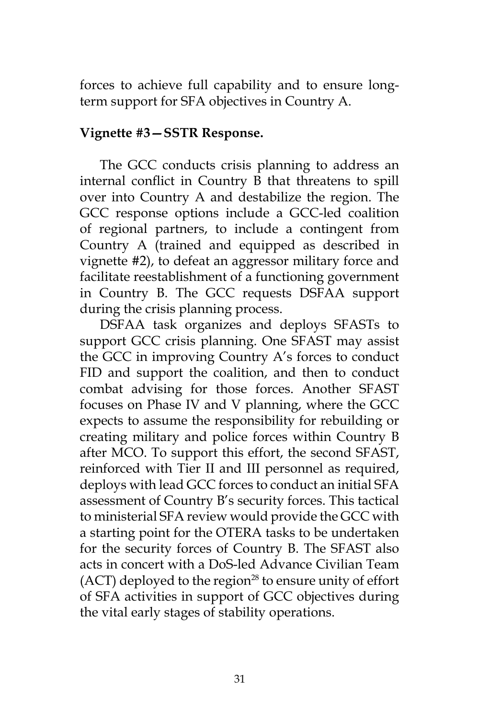forces to achieve full capability and to ensure longterm support for SFA objectives in Country A.

#### **Vignette #3—SSTR Response.**

The GCC conducts crisis planning to address an internal conflict in Country B that threatens to spill over into Country A and destabilize the region. The GCC response options include a GCC-led coalition of regional partners, to include a contingent from Country A (trained and equipped as described in vignette #2), to defeat an aggressor military force and facilitate reestablishment of a functioning government in Country B. The GCC requests DSFAA support during the crisis planning process.

DSFAA task organizes and deploys SFASTs to support GCC crisis planning. One SFAST may assist the GCC in improving Country A's forces to conduct FID and support the coalition, and then to conduct combat advising for those forces. Another SFAST focuses on Phase IV and V planning, where the GCC expects to assume the responsibility for rebuilding or creating military and police forces within Country B after MCO. To support this effort, the second SFAST, reinforced with Tier II and III personnel as required, deploys with lead GCC forces to conduct an initial SFA assessment of Country B's security forces. This tactical to ministerial SFA review would provide the GCC with a starting point for the OTERA tasks to be undertaken for the security forces of Country B. The SFAST also acts in concert with a DoS-led Advance Civilian Team  $(ACT)$  deployed to the region<sup>28</sup> to ensure unity of effort of SFA activities in support of GCC objectives during the vital early stages of stability operations.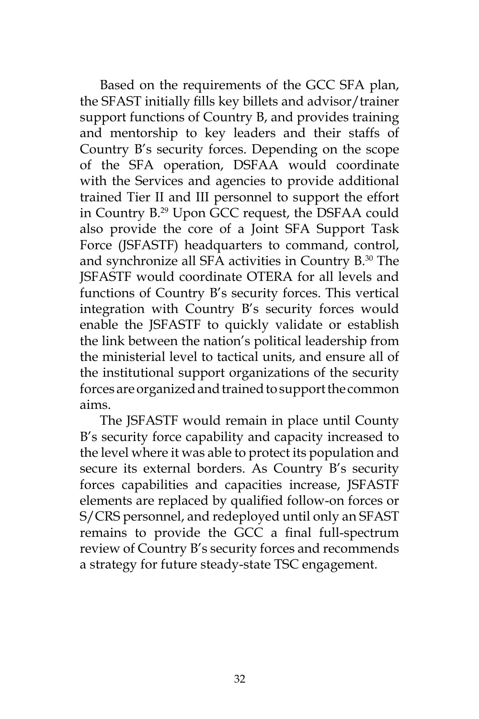Based on the requirements of the GCC SFA plan, the SFAST initially fills key billets and advisor/trainer support functions of Country B, and provides training and mentorship to key leaders and their staffs of Country B's security forces. Depending on the scope of the SFA operation, DSFAA would coordinate with the Services and agencies to provide additional trained Tier II and III personnel to support the effort in Country B.29 Upon GCC request, the DSFAA could also provide the core of a Joint SFA Support Task Force (JSFASTF) headquarters to command, control, and synchronize all SFA activities in Country B.30 The JSFASTF would coordinate OTERA for all levels and functions of Country B's security forces. This vertical integration with Country B's security forces would enable the JSFASTF to quickly validate or establish the link between the nation's political leadership from the ministerial level to tactical units, and ensure all of the institutional support organizations of the security forces are organized and trained to support the common aims.

The JSFASTF would remain in place until County B's security force capability and capacity increased to the level where it was able to protect its population and secure its external borders. As Country B's security forces capabilities and capacities increase, JSFASTF elements are replaced by qualified follow-on forces or S/CRS personnel, and redeployed until only an SFAST remains to provide the GCC a final full-spectrum review of Country B's security forces and recommends a strategy for future steady-state TSC engagement.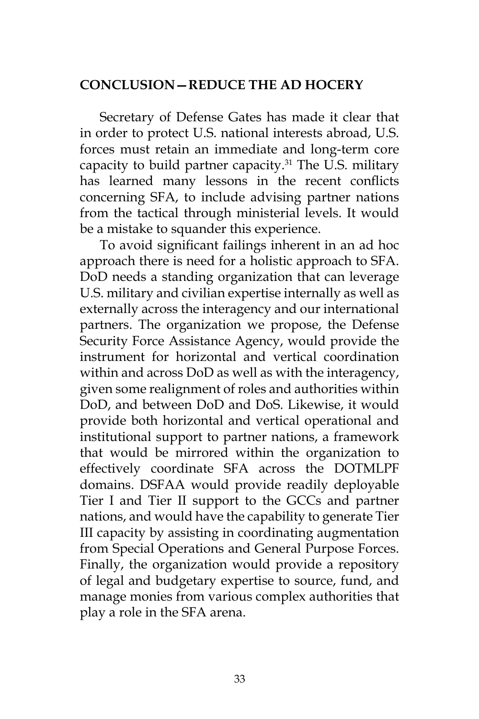#### **CONCLUSION—REDUCE THE AD HOCERY**

Secretary of Defense Gates has made it clear that in order to protect U.S. national interests abroad, U.S. forces must retain an immediate and long-term core capacity to build partner capacity.<sup>31</sup> The U.S. military has learned many lessons in the recent conflicts concerning SFA, to include advising partner nations from the tactical through ministerial levels. It would be a mistake to squander this experience.

To avoid significant failings inherent in an ad hoc approach there is need for a holistic approach to SFA. DoD needs a standing organization that can leverage U.S. military and civilian expertise internally as well as externally across the interagency and our international partners. The organization we propose, the Defense Security Force Assistance Agency, would provide the instrument for horizontal and vertical coordination within and across DoD as well as with the interagency, given some realignment of roles and authorities within DoD, and between DoD and DoS. Likewise, it would provide both horizontal and vertical operational and institutional support to partner nations, a framework that would be mirrored within the organization to effectively coordinate SFA across the DOTMLPF domains. DSFAA would provide readily deployable Tier I and Tier II support to the GCCs and partner nations, and would have the capability to generate Tier III capacity by assisting in coordinating augmentation from Special Operations and General Purpose Forces. Finally, the organization would provide a repository of legal and budgetary expertise to source, fund, and manage monies from various complex authorities that play a role in the SFA arena.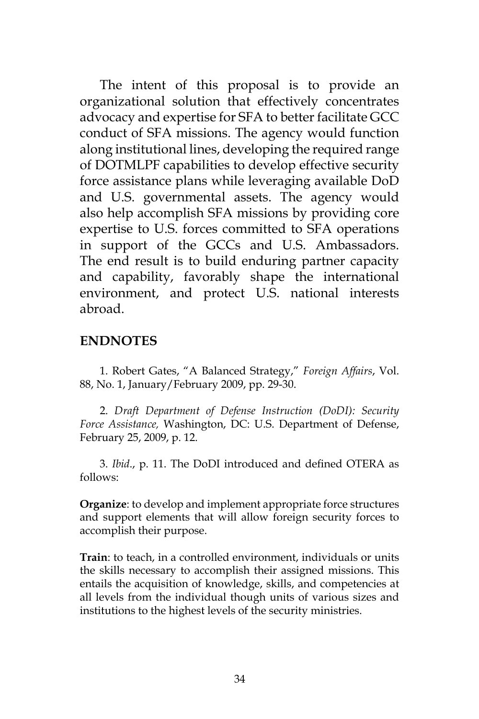The intent of this proposal is to provide an organizational solution that effectively concentrates advocacy and expertise for SFA to better facilitate GCC conduct of SFA missions. The agency would function along institutional lines, developing the required range of DOTMLPF capabilities to develop effective security force assistance plans while leveraging available DoD and U.S. governmental assets. The agency would also help accomplish SFA missions by providing core expertise to U.S. forces committed to SFA operations in support of the GCCs and U.S. Ambassadors. The end result is to build enduring partner capacity and capability, favorably shape the international environment, and protect U.S. national interests abroad.

#### **ENDNOTES**

1. Robert Gates, "A Balanced Strategy," *Foreign Affairs*, Vol. 88, No. 1, January/February 2009, pp. 29-30.

2. *Draft Department of Defense Instruction (DoDI): Security Force Assistance,* Washington, DC: U.S. Department of Defense, February 25, 2009, p. 12.

3. *Ibid*., p. 11. The DoDI introduced and defined OTERA as follows:

**Organize**: to develop and implement appropriate force structures and support elements that will allow foreign security forces to accomplish their purpose.

**Train**: to teach, in a controlled environment, individuals or units the skills necessary to accomplish their assigned missions. This entails the acquisition of knowledge, skills, and competencies at all levels from the individual though units of various sizes and institutions to the highest levels of the security ministries.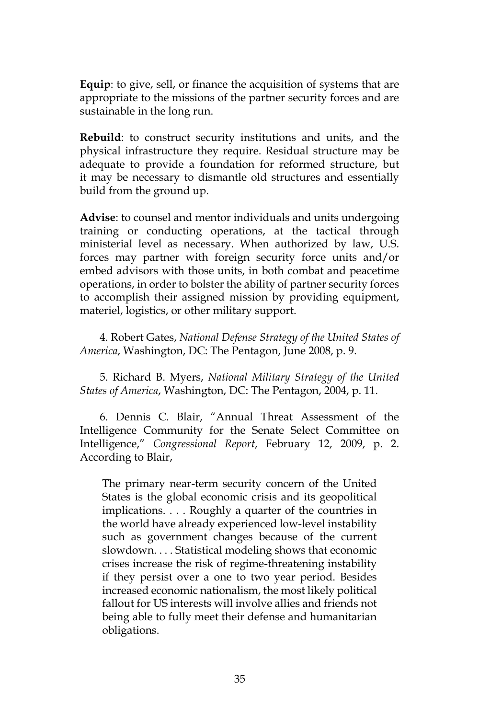**Equip**: to give, sell, or finance the acquisition of systems that are appropriate to the missions of the partner security forces and are sustainable in the long run.

**Rebuild**: to construct security institutions and units, and the physical infrastructure they require. Residual structure may be adequate to provide a foundation for reformed structure, but it may be necessary to dismantle old structures and essentially build from the ground up.

**Advise**: to counsel and mentor individuals and units undergoing training or conducting operations, at the tactical through ministerial level as necessary. When authorized by law, U.S. forces may partner with foreign security force units and/or embed advisors with those units, in both combat and peacetime operations, in order to bolster the ability of partner security forces to accomplish their assigned mission by providing equipment, materiel, logistics, or other military support.

4. Robert Gates, *National Defense Strategy of the United States of America*, Washington, DC: The Pentagon, June 2008, p. 9.

5. Richard B. Myers, *National Military Strategy of the United States of America*, Washington, DC: The Pentagon, 2004, p. 11.

6. Dennis C. Blair, "Annual Threat Assessment of the Intelligence Community for the Senate Select Committee on Intelligence," *Congressional Report*, February 12, 2009, p. 2. According to Blair,

The primary near-term security concern of the United States is the global economic crisis and its geopolitical implications. . . . Roughly a quarter of the countries in the world have already experienced low-level instability such as government changes because of the current slowdown. . . . Statistical modeling shows that economic crises increase the risk of regime-threatening instability if they persist over a one to two year period. Besides increased economic nationalism, the most likely political fallout for US interests will involve allies and friends not being able to fully meet their defense and humanitarian obligations.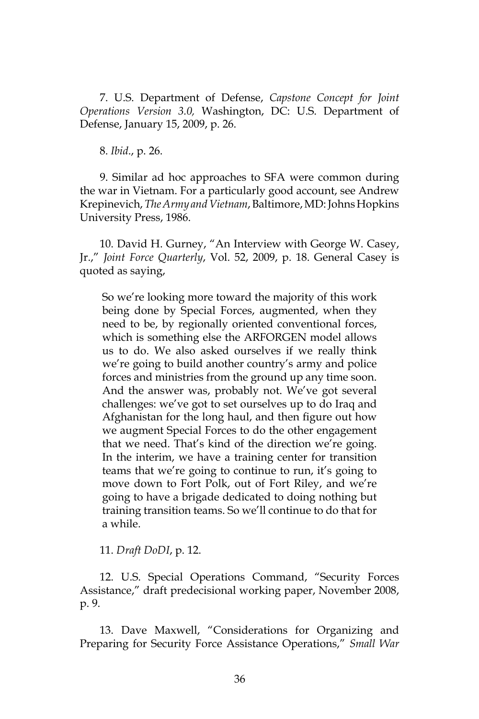7. U.S. Department of Defense, *Capstone Concept for Joint Operations Version 3.0,* Washington, DC: U.S. Department of Defense, January 15, 2009, p. 26.

8. *Ibid*., p. 26.

9. Similar ad hoc approaches to SFA were common during the war in Vietnam. For a particularly good account, see Andrew Krepinevich, *The Army and Vietnam*, Baltimore, MD: Johns Hopkins University Press, 1986.

10. David H. Gurney, "An Interview with George W. Casey, Jr.," *Joint Force Quarterly*, Vol. 52, 2009, p. 18. General Casey is quoted as saying,

So we're looking more toward the majority of this work being done by Special Forces, augmented, when they need to be, by regionally oriented conventional forces, which is something else the ARFORGEN model allows us to do. We also asked ourselves if we really think we're going to build another country's army and police forces and ministries from the ground up any time soon. And the answer was, probably not. We've got several challenges: we've got to set ourselves up to do Iraq and Afghanistan for the long haul, and then figure out how we augment Special Forces to do the other engagement that we need. That's kind of the direction we're going. In the interim, we have a training center for transition teams that we're going to continue to run, it's going to move down to Fort Polk, out of Fort Riley, and we're going to have a brigade dedicated to doing nothing but training transition teams. So we'll continue to do that for a while.

11. *Draft DoDI*, p. 12.

12. U.S. Special Operations Command, "Security Forces Assistance," draft predecisional working paper, November 2008, p. 9.

13. Dave Maxwell, "Considerations for Organizing and Preparing for Security Force Assistance Operations," *Small War*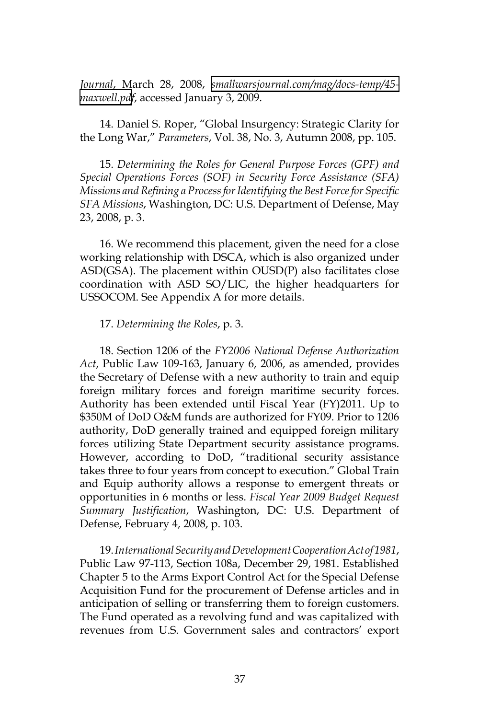*Journal*, March 28, 2008, *[smallwarsjournal.com/mag/docs-temp/45](http://smallwarsjournal.com/mag/docs-temp/45-maxwell.pd) [maxwell.pd](http://smallwarsjournal.com/mag/docs-temp/45-maxwell.pd)f*, accessed January 3, 2009.

14. Daniel S. Roper, "Global Insurgency: Strategic Clarity for the Long War," *Parameters*, Vol. 38, No. 3, Autumn 2008, pp. 105.

15. *Determining the Roles for General Purpose Forces (GPF) and Special Operations Forces (SOF) in Security Force Assistance (SFA) Missions and Refining a Process for Identifying the Best Force for Specific SFA Missions*, Washington, DC: U.S. Department of Defense, May 23, 2008, p. 3.

16. We recommend this placement, given the need for a close working relationship with DSCA, which is also organized under ASD(GSA). The placement within OUSD(P) also facilitates close coordination with ASD SO/LIC, the higher headquarters for USSOCOM. See Appendix A for more details.

#### 17. *Determining the Roles*, p. 3.

18. Section 1206 of the *FY2006 National Defense Authorization Act*, Public Law 109-163, January 6, 2006, as amended, provides the Secretary of Defense with a new authority to train and equip foreign military forces and foreign maritime security forces. Authority has been extended until Fiscal Year (FY)2011. Up to \$350M of DoD O&M funds are authorized for FY09. Prior to 1206 authority, DoD generally trained and equipped foreign military forces utilizing State Department security assistance programs. However, according to DoD, "traditional security assistance takes three to four years from concept to execution." Global Train and Equip authority allows a response to emergent threats or opportunities in 6 months or less. *Fiscal Year 2009 Budget Request Summary Justification*, Washington, DC: U.S. Department of Defense, February 4, 2008, p. 103.

19. *International Security and Development Cooperation Act of 1981*, Public Law 97-113, Section 108a, December 29, 1981. Established Chapter 5 to the Arms Export Control Act for the Special Defense Acquisition Fund for the procurement of Defense articles and in anticipation of selling or transferring them to foreign customers. The Fund operated as a revolving fund and was capitalized with revenues from U.S. Government sales and contractors' export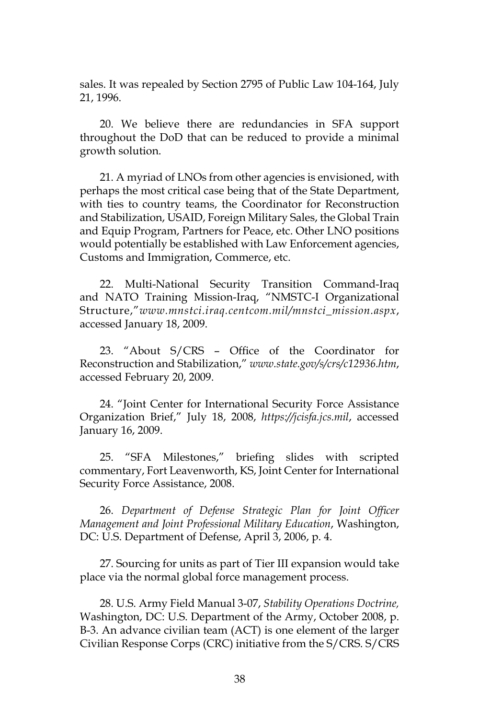sales. It was repealed by Section 2795 of Public Law 104-164, July 21, 1996.

20. We believe there are redundancies in SFA support throughout the DoD that can be reduced to provide a minimal growth solution.

21. A myriad of LNOs from other agencies is envisioned, with perhaps the most critical case being that of the State Department, with ties to country teams, the Coordinator for Reconstruction and Stabilization, USAID, Foreign Military Sales, the Global Train and Equip Program, Partners for Peace, etc. Other LNO positions would potentially be established with Law Enforcement agencies, Customs and Immigration, Commerce, etc.

22. Multi-National Security Transition Command-Iraq and NATO Training Mission-Iraq, "NMSTC-I Organizational Structure,"*www.mnstci.iraq.centcom.mil/mnstci\_mission.aspx*, accessed January 18, 2009.

23. "About S/CRS – Office of the Coordinator for Reconstruction and Stabilization," *www.state.gov/s/crs/c12936.htm*, accessed February 20, 2009.

24. "Joint Center for International Security Force Assistance Organization Brief," July 18, 2008, *https://jcisfa.jcs.mil*, accessed January 16, 2009.

25. "SFA Milestones," briefing slides with scripted commentary, Fort Leavenworth, KS, Joint Center for International Security Force Assistance, 2008.

26. *Department of Defense Strategic Plan for Joint Officer Management and Joint Professional Military Education*, Washington, DC: U.S. Department of Defense, April 3, 2006, p. 4.

27. Sourcing for units as part of Tier III expansion would take place via the normal global force management process.

28. U.S. Army Field Manual 3-07, *Stability Operations Doctrine,*  Washington, DC: U.S. Department of the Army, October 2008, p. B-3. An advance civilian team (ACT) is one element of the larger Civilian Response Corps (CRC) initiative from the S/CRS. S/CRS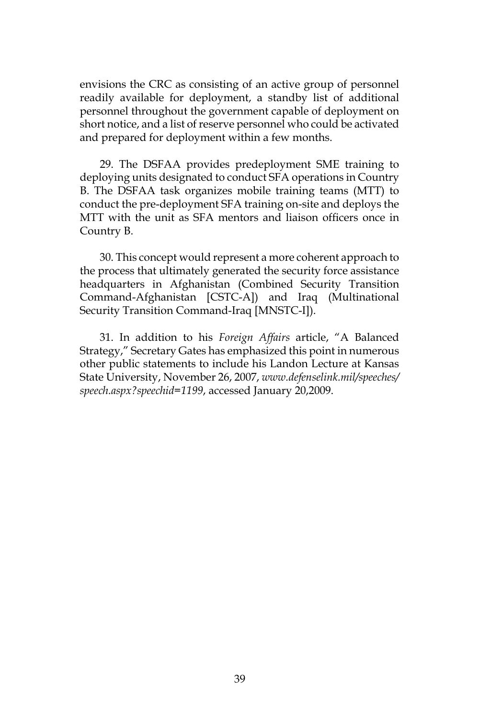envisions the CRC as consisting of an active group of personnel readily available for deployment, a standby list of additional personnel throughout the government capable of deployment on short notice, and a list of reserve personnel who could be activated and prepared for deployment within a few months.

29. The DSFAA provides predeployment SME training to deploying units designated to conduct SFA operations in Country B. The DSFAA task organizes mobile training teams (MTT) to conduct the pre-deployment SFA training on-site and deploys the MTT with the unit as SFA mentors and liaison officers once in Country B.

30. This concept would represent a more coherent approach to the process that ultimately generated the security force assistance headquarters in Afghanistan (Combined Security Transition Command-Afghanistan [CSTC-A]) and Iraq (Multinational Security Transition Command-Iraq [MNSTC-I]).

31. In addition to his *Foreign Affairs* article, "A Balanced Strategy," Secretary Gates has emphasized this point in numerous other public statements to include his Landon Lecture at Kansas State University, November 26, 2007, *www.defenselink.mil/speeches/ speech.aspx?speechid=1199*, accessed January 20,2009.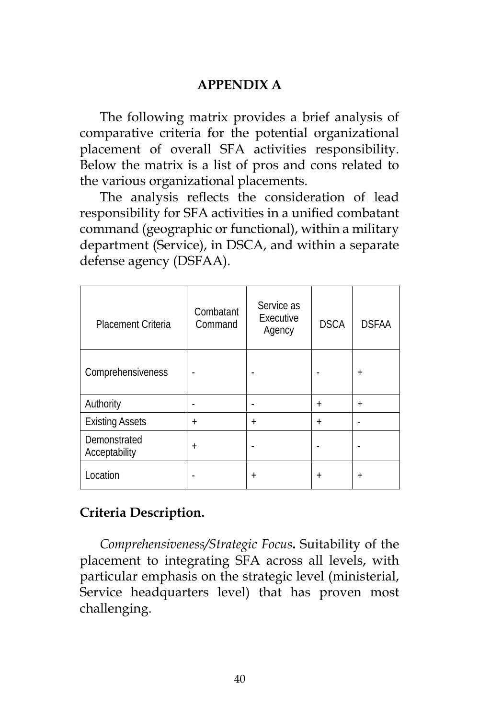#### **APPENDIX A**

The following matrix provides a brief analysis of comparative criteria for the potential organizational placement of overall SFA activities responsibility. Below the matrix is a list of pros and cons related to the various organizational placements.

The analysis reflects the consideration of lead responsibility for SFA activities in a unified combatant command (geographic or functional), within a military department (Service), in DSCA, and within a separate defense agency (DSFAA).

| <b>Placement Criteria</b>     | Combatant<br>Command | Service as<br>Executive<br>Agency | <b>DSCA</b> | <b>DSFAA</b> |
|-------------------------------|----------------------|-----------------------------------|-------------|--------------|
| Comprehensiveness             |                      |                                   |             | $\ddot{}$    |
| Authority                     | -                    |                                   | $\ddot{}$   | $\ddot{}$    |
| <b>Existing Assets</b>        | $\ddot{}$            | $^{+}$                            | $\ddot{}$   |              |
| Demonstrated<br>Acceptability | $+$                  |                                   |             |              |
| Location                      |                      | $^{+}$                            | $\ddot{}$   | $\,{}^{+}\,$ |

#### **Criteria Description.**

*Comprehensiveness/Strategic Focus***.** Suitability of the placement to integrating SFA across all levels, with particular emphasis on the strategic level (ministerial, Service headquarters level) that has proven most challenging.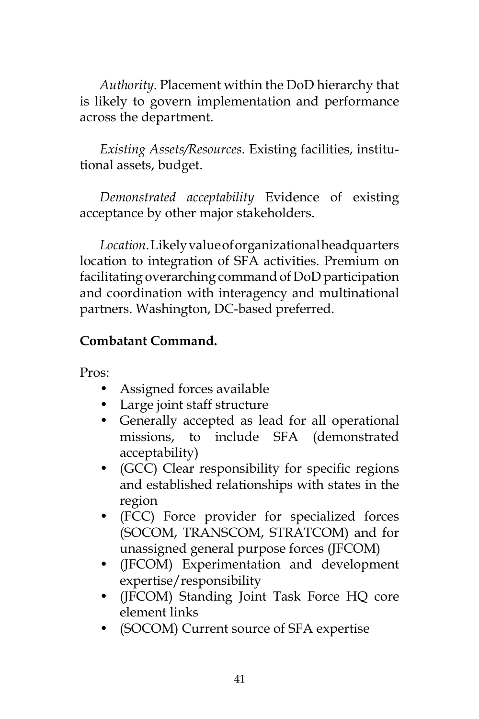*Authority*. Placement within the DoD hierarchy that is likely to govern implementation and performance across the department.

*Existing Assets/Resources*. Existing facilities, institutional assets, budget.

*Demonstrated acceptability* Evidence of existing acceptance by other major stakeholders.

*Location*. Likely value of organizational headquarters location to integration of SFA activities. Premium on facilitating overarching command of DoD participation and coordination with interagency and multinational partners. Washington, DC-based preferred.

# **Combatant Command.**

Pros:

- Assigned forces available
- Large joint staff structure
- Generally accepted as lead for all operational missions, to include SFA (demonstrated acceptability)
- (GCC) Clear responsibility for specific regions and established relationships with states in the region
- (FCC) Force provider for specialized forces (SOCOM, TRANSCOM, STRATCOM) and for unassigned general purpose forces (JFCOM)
- (JFCOM) Experimentation and development expertise/responsibility
- (JFCOM) Standing Joint Task Force HQ core element links
- (SOCOM) Current source of SFA expertise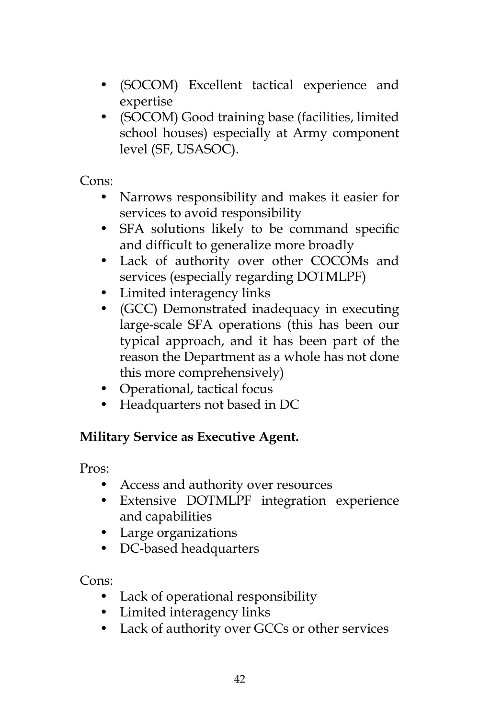- (SOCOM) Excellent tactical experience and expertise
- (SOCOM) Good training base (facilities, limited school houses) especially at Army component level (SF, USASOC).

Cons:

- Narrows responsibility and makes it easier for services to avoid responsibility
- SFA solutions likely to be command specific and difficult to generalize more broadly
- Lack of authority over other COCOMs and services (especially regarding DOTMLPF)
- Limited interagency links
- (GCC) Demonstrated inadequacy in executing large-scale SFA operations (this has been our typical approach, and it has been part of the reason the Department as a whole has not done this more comprehensively)
- Operational, tactical focus
- Headquarters not based in DC

# **Military Service as Executive Agent.**

Pros:

- Access and authority over resources
- Extensive DOTMLPF integration experience and capabilities
- Large organizations
- DC-based headquarters

Cons:

- Lack of operational responsibility
- Limited interagency links
- Lack of authority over GCCs or other services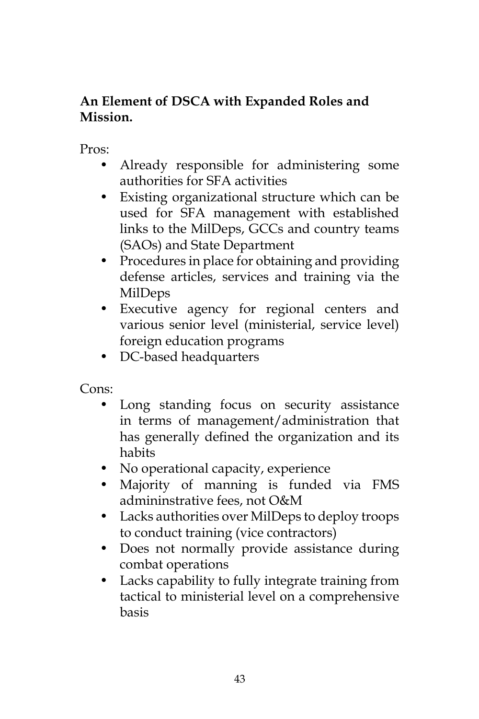# **An Element of DSCA with Expanded Roles and Mission.**

Pros:

- Already responsible for administering some authorities for SFA activities
- Existing organizational structure which can be used for SFA management with established links to the MilDeps, GCCs and country teams (SAOs) and State Department
- Procedures in place for obtaining and providing defense articles, services and training via the MilDeps
- Executive agency for regional centers and various senior level (ministerial, service level) foreign education programs
- DC-based headquarters

Cons:

- Long standing focus on security assistance in terms of management/administration that has generally defined the organization and its habits
- No operational capacity, experience
- Majority of manning is funded via FMS admininstrative fees, not O&M
- Lacks authorities over MilDeps to deploy troops to conduct training (vice contractors)
- Does not normally provide assistance during combat operations
- Lacks capability to fully integrate training from tactical to ministerial level on a comprehensive basis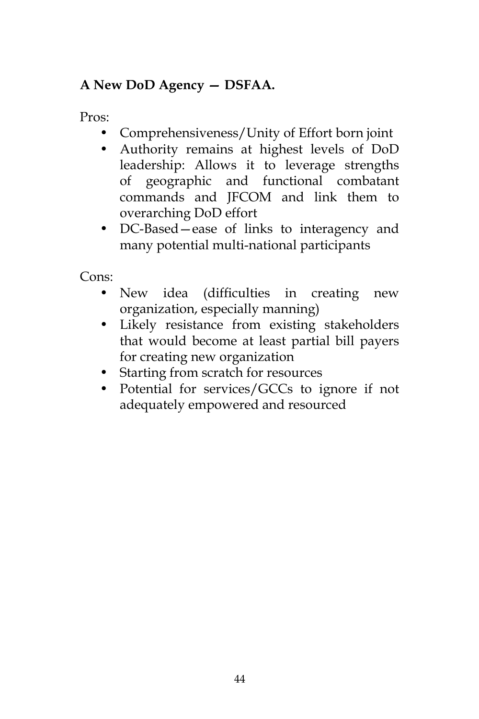# **A New DoD Agency — DSFAA.**

Pros:

- Comprehensiveness/Unity of Effort born joint
- Authority remains at highest levels of DoD leadership: Allows it to leverage strengths of geographic and functional combatant commands and JFCOM and link them to overarching DoD effort
- DC-Based—ease of links to interagency and many potential multi-national participants

Cons:

- New idea (difficulties in creating new organization, especially manning)
- Likely resistance from existing stakeholders that would become at least partial bill payers for creating new organization
- Starting from scratch for resources
- Potential for services/GCCs to ignore if not adequately empowered and resourced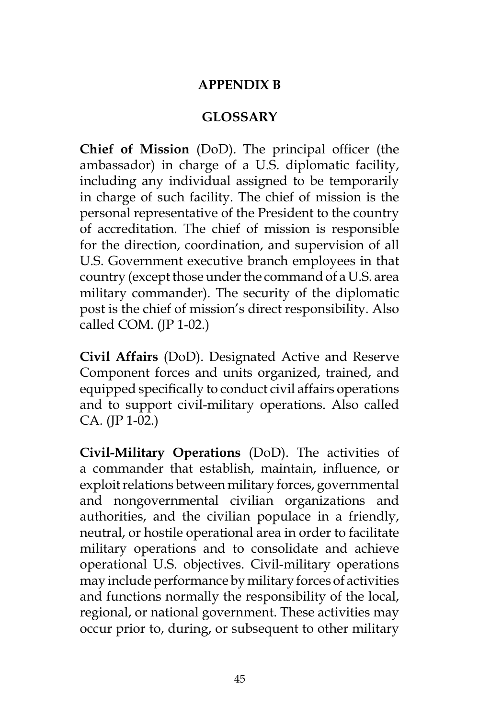#### **APPENDIX B**

# **GLOSSARY**

**Chief of Mission** (DoD). The principal officer (the ambassador) in charge of a U.S. diplomatic facility, including any individual assigned to be temporarily in charge of such facility. The chief of mission is the personal representative of the President to the country of accreditation. The chief of mission is responsible for the direction, coordination, and supervision of all U.S. Government executive branch employees in that country (except those under the command of a U.S. area military commander). The security of the diplomatic post is the chief of mission's direct responsibility. Also called COM. (JP 1-02.)

**Civil Affairs** (DoD). Designated Active and Reserve Component forces and units organized, trained, and equipped specifically to conduct civil affairs operations and to support civil-military operations. Also called CA. (JP 1-02.)

**Civil-Military Operations** (DoD). The activities of a commander that establish, maintain, influence, or exploit relations between military forces, governmental and nongovernmental civilian organizations and authorities, and the civilian populace in a friendly, neutral, or hostile operational area in order to facilitate military operations and to consolidate and achieve operational U.S. objectives. Civil-military operations may include performance by military forces of activities and functions normally the responsibility of the local, regional, or national government. These activities may occur prior to, during, or subsequent to other military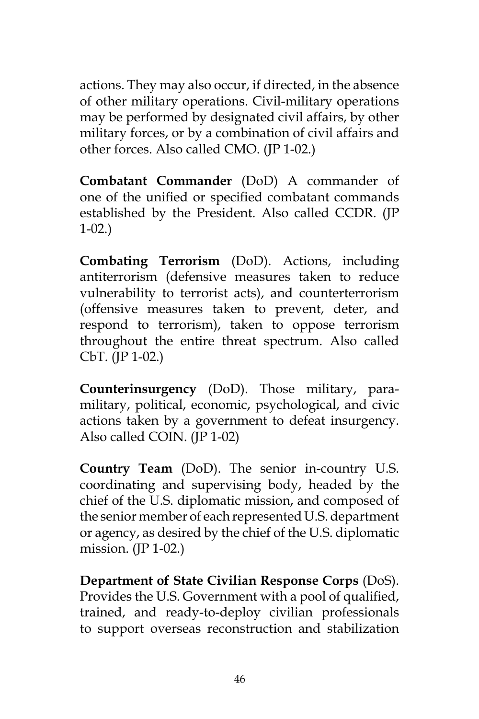actions. They may also occur, if directed, in the absence of other military operations. Civil-military operations may be performed by designated civil affairs, by other military forces, or by a combination of civil affairs and other forces. Also called CMO. (JP 1-02.)

**Combatant Commander** (DoD) A commander of one of the unified or specified combatant commands established by the President. Also called CCDR. (JP 1-02.)

**Combating Terrorism** (DoD). Actions, including antiterrorism (defensive measures taken to reduce vulnerability to terrorist acts), and counterterrorism (offensive measures taken to prevent, deter, and respond to terrorism), taken to oppose terrorism throughout the entire threat spectrum. Also called CbT. (JP 1-02.)

**Counterinsurgency** (DoD). Those military, paramilitary, political, economic, psychological, and civic actions taken by a government to defeat insurgency. Also called COIN. (JP 1-02)

**Country Team** (DoD). The senior in-country U.S. coordinating and supervising body, headed by the chief of the U.S. diplomatic mission, and composed of the senior member of each represented U.S. department or agency, as desired by the chief of the U.S. diplomatic mission. (JP 1-02.)

**Department of State Civilian Response Corps** (DoS). Provides the U.S. Government with a pool of qualified, trained, and ready-to-deploy civilian professionals to support overseas reconstruction and stabilization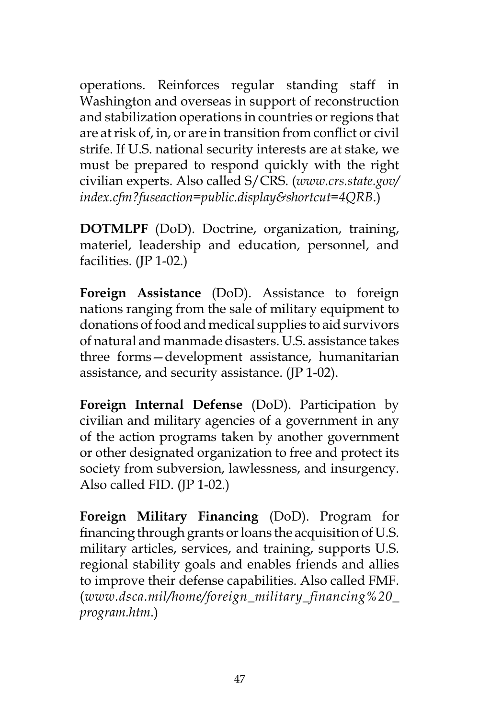operations. Reinforces regular standing staff in Washington and overseas in support of reconstruction and stabilization operations in countries or regions that are at risk of, in, or are in transition from conflict or civil strife. If U.S. national security interests are at stake, we must be prepared to respond quickly with the right civilian experts. Also called S/CRS. (*www.crs.state.gov/ index.cfm?fuseaction=public.display&shortcut=4QRB*.)

**DOTMLPF** (DoD). Doctrine, organization, training, materiel, leadership and education, personnel, and facilities. (JP 1-02.)

**Foreign Assistance** (DoD). Assistance to foreign nations ranging from the sale of military equipment to donations of food and medical supplies to aid survivors of natural and manmade disasters. U.S. assistance takes three forms—development assistance, humanitarian assistance, and security assistance. (JP 1-02).

**Foreign Internal Defense** (DoD). Participation by civilian and military agencies of a government in any of the action programs taken by another government or other designated organization to free and protect its society from subversion, lawlessness, and insurgency. Also called FID. (JP 1-02.)

**Foreign Military Financing** (DoD). Program for financing through grants or loans the acquisition of U.S. military articles, services, and training, supports U.S. regional stability goals and enables friends and allies to improve their defense capabilities. Also called FMF. (*www.dsca.mil/home/foreign\_military\_financing%20\_ program.htm*.)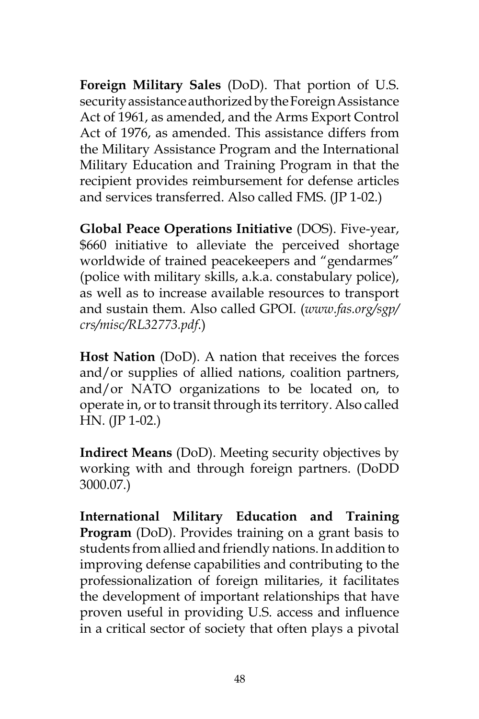**Foreign Military Sales** (DoD). That portion of U.S. security assistance authorized by the Foreign Assistance Act of 1961, as amended, and the Arms Export Control Act of 1976, as amended. This assistance differs from the Military Assistance Program and the International Military Education and Training Program in that the recipient provides reimbursement for defense articles and services transferred. Also called FMS. (JP 1-02.)

**Global Peace Operations Initiative** (DOS). Five-year, \$660 initiative to alleviate the perceived shortage worldwide of trained peacekeepers and "gendarmes" (police with military skills, a.k.a. constabulary police), as well as to increase available resources to transport and sustain them. Also called GPOI. (*www.fas.org/sgp/ crs/misc/RL32773.pdf*.)

**Host Nation** (DoD). A nation that receives the forces and/or supplies of allied nations, coalition partners, and/or NATO organizations to be located on, to operate in, or to transit through its territory. Also called HN. (JP 1-02.)

**Indirect Means** (DoD). Meeting security objectives by working with and through foreign partners. (DoDD 3000.07.)

**International Military Education and Training Program** (DoD). Provides training on a grant basis to students from allied and friendly nations. In addition to improving defense capabilities and contributing to the professionalization of foreign militaries, it facilitates the development of important relationships that have proven useful in providing U.S. access and influence in a critical sector of society that often plays a pivotal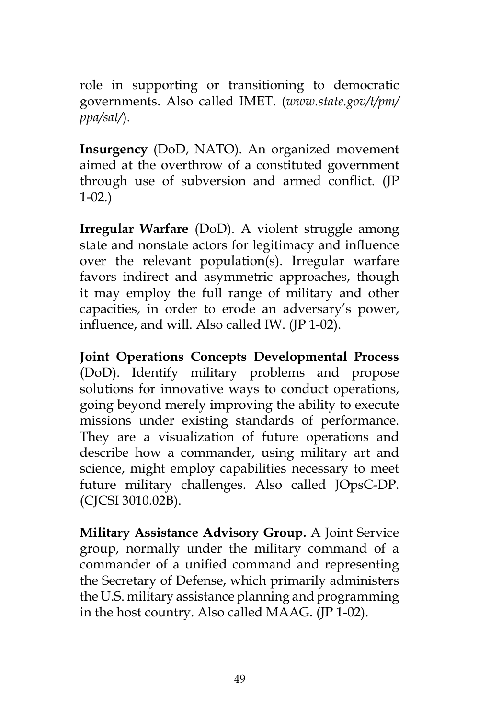role in supporting or transitioning to democratic governments. Also called IMET. (*www.state.gov/t/pm/ ppa/sat/*).

**Insurgency** (DoD, NATO). An organized movement aimed at the overthrow of a constituted government through use of subversion and armed conflict. (JP 1-02.)

**Irregular Warfare** (DoD). A violent struggle among state and nonstate actors for legitimacy and influence over the relevant population(s). Irregular warfare favors indirect and asymmetric approaches, though it may employ the full range of military and other capacities, in order to erode an adversary's power, influence, and will. Also called IW. (JP 1-02).

**Joint Operations Concepts Developmental Process**  (DoD). Identify military problems and propose solutions for innovative ways to conduct operations, going beyond merely improving the ability to execute missions under existing standards of performance. They are a visualization of future operations and describe how a commander, using military art and science, might employ capabilities necessary to meet future military challenges. Also called JOpsC-DP. (CJCSI 3010.02B).

**Military Assistance Advisory Group.** A Joint Service group, normally under the military command of a commander of a unified command and representing the Secretary of Defense, which primarily administers the U.S. military assistance planning and programming in the host country. Also called MAAG. (JP 1-02).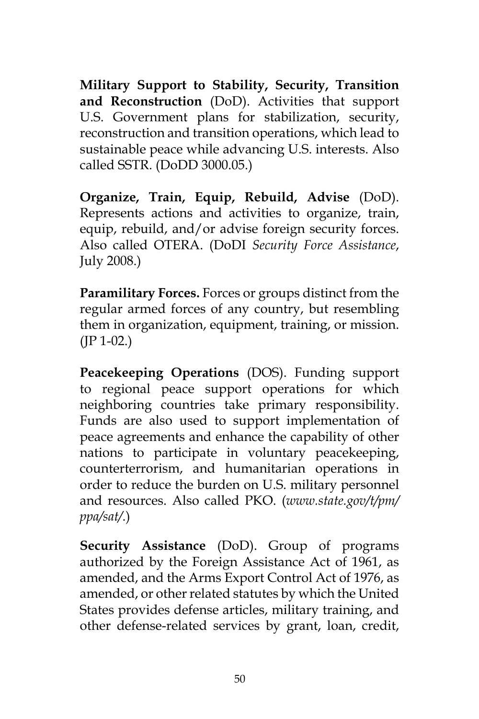**Military Support to Stability, Security, Transition and Reconstruction** (DoD). Activities that support U.S. Government plans for stabilization, security, reconstruction and transition operations, which lead to sustainable peace while advancing U.S. interests. Also called SSTR. (DoDD 3000.05.)

**Organize, Train, Equip, Rebuild, Advise** (DoD). Represents actions and activities to organize, train, equip, rebuild, and/or advise foreign security forces. Also called OTERA. (DoDI *Security Force Assistance*, July 2008.)

**Paramilitary Forces.** Forces or groups distinct from the regular armed forces of any country, but resembling them in organization, equipment, training, or mission.  $(IP 1-02.)$ 

**Peacekeeping Operations** (DOS). Funding support to regional peace support operations for which neighboring countries take primary responsibility. Funds are also used to support implementation of peace agreements and enhance the capability of other nations to participate in voluntary peacekeeping, counterterrorism, and humanitarian operations in order to reduce the burden on U.S. military personnel and resources. Also called PKO. (*www.state.gov/t/pm/ ppa/sat/*.)

**Security Assistance** (DoD). Group of programs authorized by the Foreign Assistance Act of 1961, as amended, and the Arms Export Control Act of 1976, as amended, or other related statutes by which the United States provides defense articles, military training, and other defense-related services by grant, loan, credit,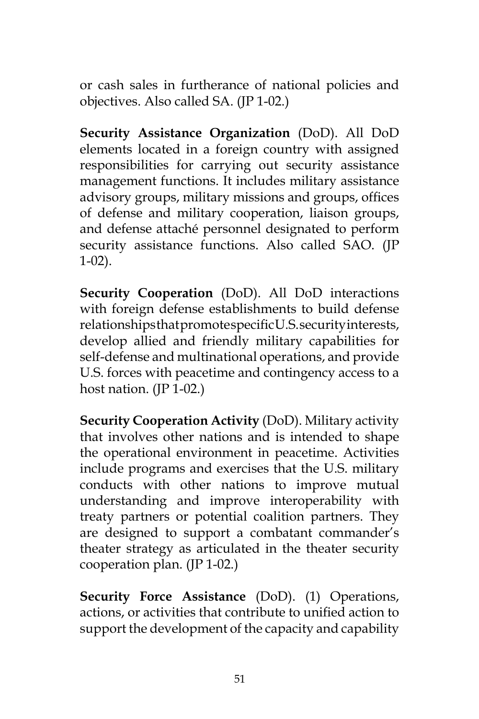or cash sales in furtherance of national policies and objectives. Also called SA. (JP 1-02.)

**Security Assistance Organization** (DoD). All DoD elements located in a foreign country with assigned responsibilities for carrying out security assistance management functions. It includes military assistance advisory groups, military missions and groups, offices of defense and military cooperation, liaison groups, and defense attaché personnel designated to perform security assistance functions. Also called SAO. (JP 1-02).

**Security Cooperation** (DoD). All DoD interactions with foreign defense establishments to build defense relationships that promote specific U.S. security interests, develop allied and friendly military capabilities for self-defense and multinational operations, and provide U.S. forces with peacetime and contingency access to a host nation. (JP 1-02.)

**Security Cooperation Activity** (DoD). Military activity that involves other nations and is intended to shape the operational environment in peacetime. Activities include programs and exercises that the U.S. military conducts with other nations to improve mutual understanding and improve interoperability with treaty partners or potential coalition partners. They are designed to support a combatant commander's theater strategy as articulated in the theater security cooperation plan. (JP 1-02.)

**Security Force Assistance** (DoD). (1) Operations, actions, or activities that contribute to unified action to support the development of the capacity and capability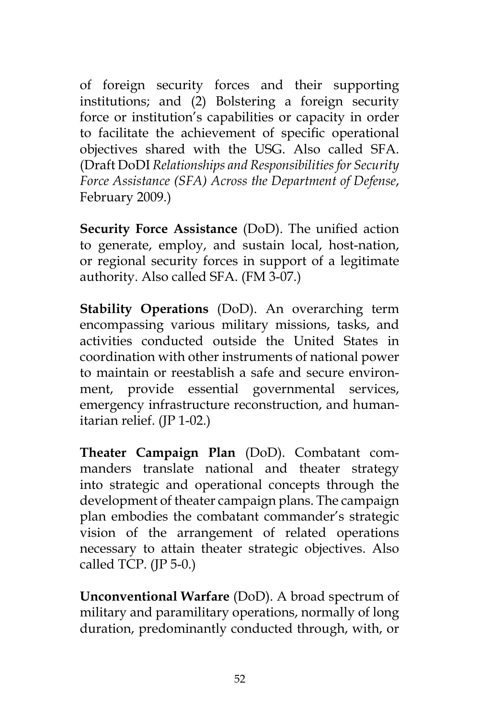of foreign security forces and their supporting institutions; and (2) Bolstering a foreign security force or institution's capabilities or capacity in order to facilitate the achievement of specific operational objectives shared with the USG. Also called SFA. (Draft DoDI *Relationships and Responsibilities for Security Force Assistance (SFA) Across the Department of Defense*, February 2009.)

**Security Force Assistance** (DoD). The unified action to generate, employ, and sustain local, host-nation, or regional security forces in support of a legitimate authority. Also called SFA. (FM 3-07.)

**Stability Operations** (DoD). An overarching term encompassing various military missions, tasks, and activities conducted outside the United States in coordination with other instruments of national power to maintain or reestablish a safe and secure environment, provide essential governmental services, emergency infrastructure reconstruction, and humanitarian relief. (JP 1-02.)

**Theater Campaign Plan** (DoD). Combatant commanders translate national and theater strategy into strategic and operational concepts through the development of theater campaign plans. The campaign plan embodies the combatant commander's strategic vision of the arrangement of related operations necessary to attain theater strategic objectives. Also called TCP.  $(IP 5-0.)$ 

**Unconventional Warfare** (DoD). A broad spectrum of military and paramilitary operations, normally of long duration, predominantly conducted through, with, or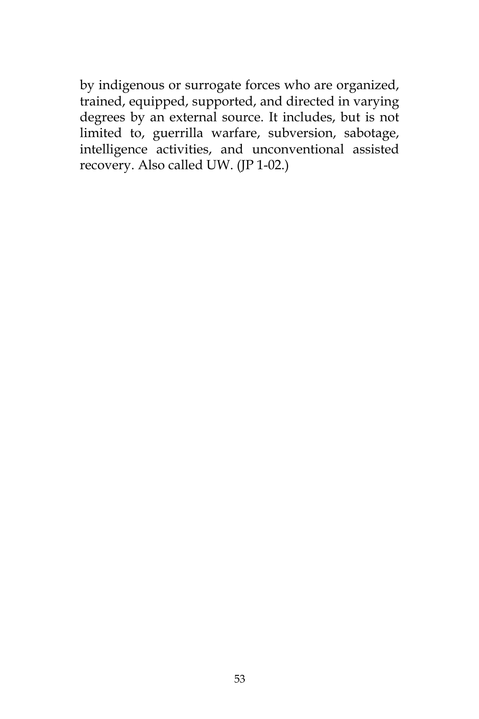by indigenous or surrogate forces who are organized, trained, equipped, supported, and directed in varying degrees by an external source. It includes, but is not limited to, guerrilla warfare, subversion, sabotage, intelligence activities, and unconventional assisted recovery. Also called UW. (JP 1-02.)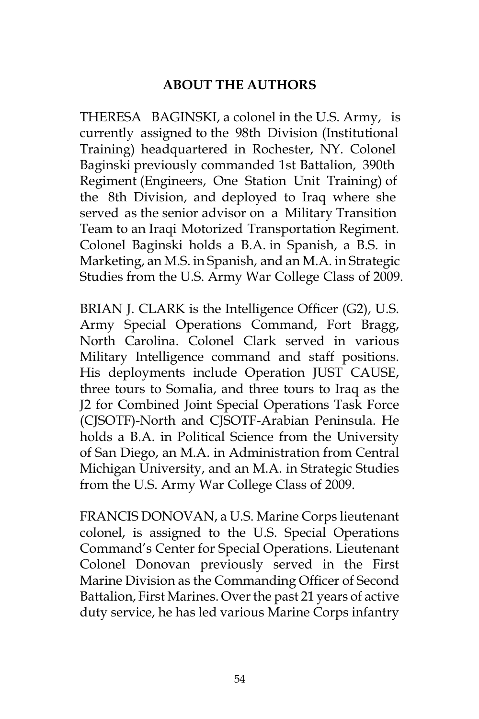# **ABOUT THE AUTHORS**

THERESA BAGINSKI, a colonel in the U.S. Army, is currently assigned to the 98th Division (Institutional Training) headquartered in Rochester, NY. Colonel Baginski previously commanded 1st Battalion, 390th Regiment (Engineers, One Station Unit Training) of the 8th Division, and deployed to Iraq where she served as the senior advisor on a Military Transition Team to an Iraqi Motorized Transportation Regiment. Colonel Baginski holds a B.A. in Spanish, a B.S. in Marketing, an M.S. in Spanish, and an M.A. in Strategic Studies from the U.S. Army War College Class of 2009.

BRIAN J. CLARK is the Intelligence Officer (G2), U.S. Army Special Operations Command, Fort Bragg, North Carolina. Colonel Clark served in various Military Intelligence command and staff positions. His deployments include Operation JUST CAUSE, three tours to Somalia, and three tours to Iraq as the J2 for Combined Joint Special Operations Task Force (CJSOTF)-North and CJSOTF-Arabian Peninsula. He holds a B.A. in Political Science from the University of San Diego, an M.A. in Administration from Central Michigan University, and an M.A. in Strategic Studies from the U.S. Army War College Class of 2009.

FRANCIS DONOVAN, a U.S. Marine Corps lieutenant colonel, is assigned to the U.S. Special Operations Command's Center for Special Operations. Lieutenant Colonel Donovan previously served in the First Marine Division as the Commanding Officer of Second Battalion, First Marines. Over the past 21 years of active duty service, he has led various Marine Corps infantry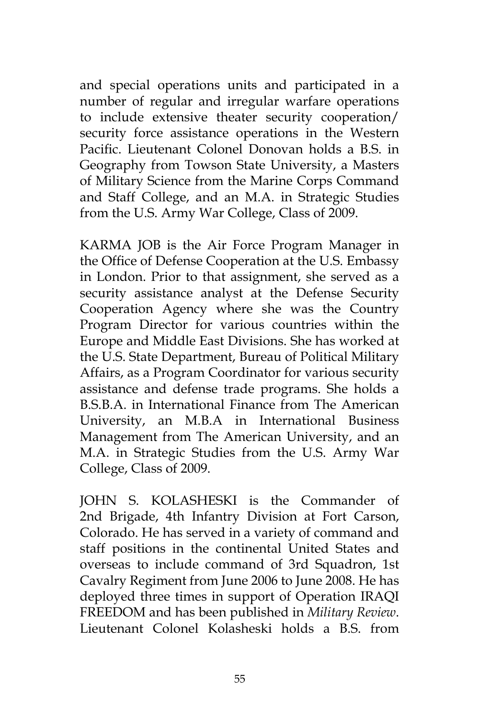and special operations units and participated in a number of regular and irregular warfare operations to include extensive theater security cooperation/ security force assistance operations in the Western Pacific. Lieutenant Colonel Donovan holds a B.S. in Geography from Towson State University, a Masters of Military Science from the Marine Corps Command and Staff College, and an M.A. in Strategic Studies from the U.S. Army War College, Class of 2009.

KARMA JOB is the Air Force Program Manager in the Office of Defense Cooperation at the U.S. Embassy in London. Prior to that assignment, she served as a security assistance analyst at the Defense Security Cooperation Agency where she was the Country Program Director for various countries within the Europe and Middle East Divisions. She has worked at the U.S. State Department, Bureau of Political Military Affairs, as a Program Coordinator for various security assistance and defense trade programs. She holds a B.S.B.A. in International Finance from The American University, an M.B.A in International Business Management from The American University, and an M.A. in Strategic Studies from the U.S. Army War College, Class of 2009.

JOHN S. KOLASHESKI is the Commander of 2nd Brigade, 4th Infantry Division at Fort Carson, Colorado. He has served in a variety of command and staff positions in the continental United States and overseas to include command of 3rd Squadron, 1st Cavalry Regiment from June 2006 to June 2008. He has deployed three times in support of Operation IRAQI FREEDOM and has been published in *Military Review*. Lieutenant Colonel Kolasheski holds a B.S. from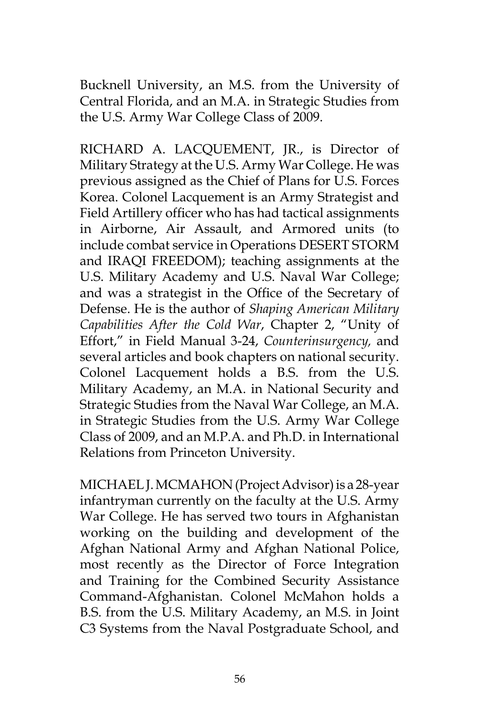Bucknell University, an M.S. from the University of Central Florida, and an M.A. in Strategic Studies from the U.S. Army War College Class of 2009.

RICHARD A. LACQUEMENT, JR., is Director of Military Strategy at the U.S. Army War College. He was previous assigned as the Chief of Plans for U.S. Forces Korea. Colonel Lacquement is an Army Strategist and Field Artillery officer who has had tactical assignments in Airborne, Air Assault, and Armored units (to include combat service in Operations DESERT STORM and IRAQI FREEDOM); teaching assignments at the U.S. Military Academy and U.S. Naval War College; and was a strategist in the Office of the Secretary of Defense. He is the author of *Shaping American Military Capabilities After the Cold War*, Chapter 2, "Unity of Effort," in Field Manual 3-24, *Counterinsurgency,* and several articles and book chapters on national security. Colonel Lacquement holds a B.S. from the U.S. Military Academy, an M.A. in National Security and Strategic Studies from the Naval War College, an M.A. in Strategic Studies from the U.S. Army War College Class of 2009, and an M.P.A. and Ph.D. in International Relations from Princeton University.

MICHAEL J. MCMAHON (Project Advisor) is a 28-year infantryman currently on the faculty at the U.S. Army War College. He has served two tours in Afghanistan working on the building and development of the Afghan National Army and Afghan National Police, most recently as the Director of Force Integration and Training for the Combined Security Assistance Command-Afghanistan. Colonel McMahon holds a B.S. from the U.S. Military Academy, an M.S. in Joint C3 Systems from the Naval Postgraduate School, and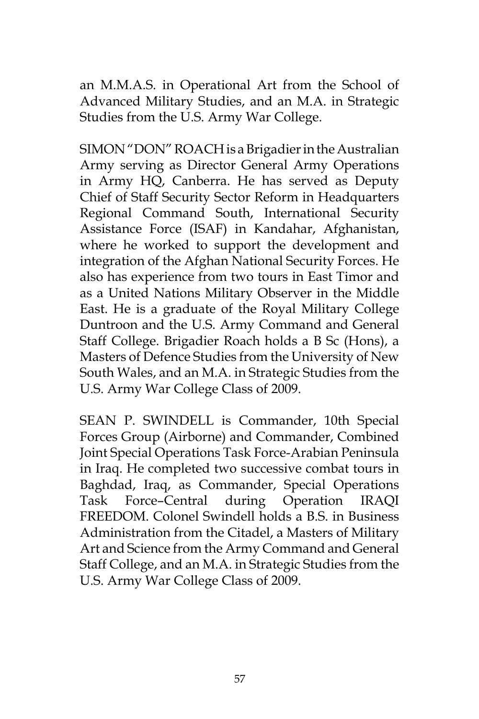an M.M.A.S. in Operational Art from the School of Advanced Military Studies, and an M.A. in Strategic Studies from the U.S. Army War College.

SIMON "DON" ROACH is a Brigadier in the Australian Army serving as Director General Army Operations in Army HQ, Canberra. He has served as Deputy Chief of Staff Security Sector Reform in Headquarters Regional Command South, International Security Assistance Force (ISAF) in Kandahar, Afghanistan, where he worked to support the development and integration of the Afghan National Security Forces. He also has experience from two tours in East Timor and as a United Nations Military Observer in the Middle East. He is a graduate of the Royal Military College Duntroon and the U.S. Army Command and General Staff College. Brigadier Roach holds a B Sc (Hons), a Masters of Defence Studies from the University of New South Wales, and an M.A. in Strategic Studies from the U.S. Army War College Class of 2009.

SEAN P. SWINDELL is Commander, 10th Special Forces Group (Airborne) and Commander, Combined Joint Special Operations Task Force-Arabian Peninsula in Iraq. He completed two successive combat tours in Baghdad, Iraq, as Commander, Special Operations Task Force–Central during Operation IRAQI FREEDOM. Colonel Swindell holds a B.S. in Business Administration from the Citadel, a Masters of Military Art and Science from the Army Command and General Staff College, and an M.A. in Strategic Studies from the U.S. Army War College Class of 2009.